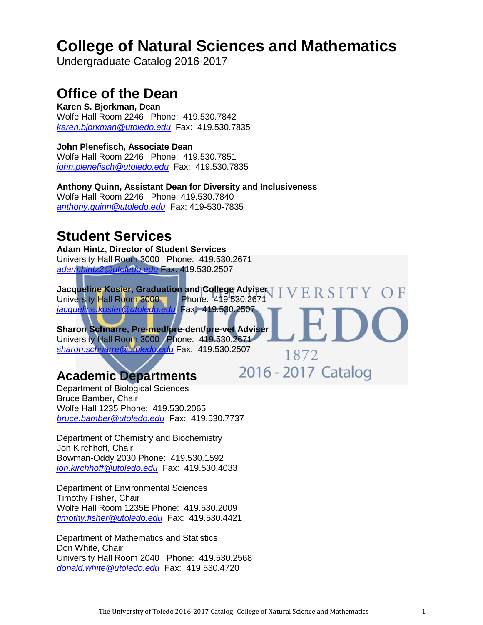# **[College of Natural Sciences and Mathematics](http://www.utoledo.edu/nsm/)**

Undergraduate Catalog 2016-2017

# **Office of the Dean**

**Karen S. Bjorkman, Dean**  Wolfe Hall Room 2246 Phone: 419.530.7842 *[karen.bjorkman@utoledo.edu](mailto:karen.bjorkman@utoledo.edu)* Fax: 419.530.7835

**John Plenefisch, Associate Dean**  Wolfe Hall Room 2246 Phone: 419.530.7851 *[john.plenefisch@utoledo.edu](mailto:john.plenefisch@utoledo.edu)* Fax: 419.530.7835

**Anthony Quinn, Assistant Dean for Diversity and Inclusiveness** Wolfe Hall Room 2246 Phone: 419.530.7840 *[anthony.quinn@utoledo.edu](mailto:Anthony.quinn@utoledo.edu)* Fax: 419-530-7835

# **Student Services**

**Adam Hintz, Director of Student Services**  University Hall Room 3000 Phone: 419.530.2671 *[adam.hintz2@utoledo.edu](mailto:adam.hintz2@utoledo.edu)* Fax: 419.530.2507

**Jacqueline Kosier, Graduation and College Adviser | University Hall Room 3000 | Phone: 419.530.2671** ERSITY University Hall Room 3000 *[jacqueline.kosier@utoledo.edu](mailto:tess.newlove@utoledo.edu)* Fax: 419.530.2507

1872

2016 - 2017 Catalog

**Sharon Schnarre, Pre-med/pre-dent/pre-vet Adviser**  University Hall Room 3000 Phone: 419.530.2671 *[sharon.schnarre@utoledo.edu](mailto:sharon.schnarre@utoledo.edu)* Fax: 419.530.2507

# **Academic Departments**

Department of Biological Sciences Bruce Bamber, Chair Wolfe Hall 1235 Phone: 419.530.2065 *[bruce.bamber@utoledo.edu](mailto:bruce.bamber@utoledo.edu)* Fax: 419.530.7737

Department of Chemistry and Biochemistry Jon Kirchhoff, Chair Bowman-Oddy 2030 Phone: 419.530.1592 *[jon.kirchhoff@utoledo.edu](mailto:jon.kirchhoff@utoledo.edu)* Fax: 419.530.4033

Department of Environmental Sciences Timothy Fisher, Chair Wolfe Hall Room 1235E Phone: 419.530.2009 *[timothy.fisher@utoledo.edu](mailto:timothy.fisher@utoledo.edu)* Fax: 419.530.4421

Department of Mathematics and Statistics Don White, Chair University Hall Room 2040 Phone: 419.530.2568 *[donald.white@utoledo.edu](mailto:donald.white@utoledo.edu)* Fax: 419.530.4720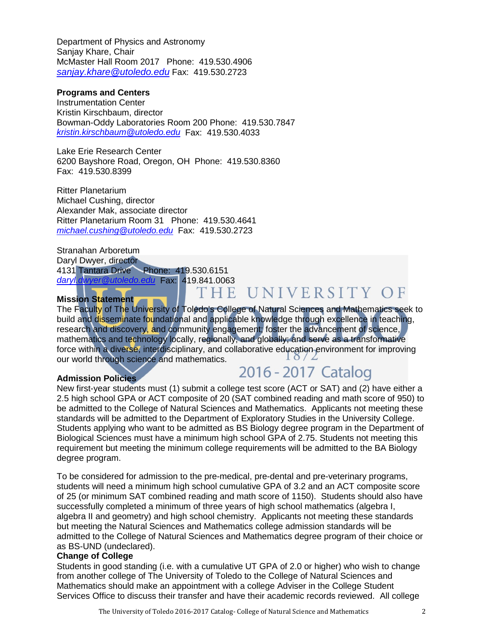Department of Physics and Astronomy Sanjay Khare, Chair McMaster Hall Room 2017 Phone: 419.530.4906 *[sanjay.khare@utoledo.edu](mailto:sanjay.khare@utoledo.edu)* Fax: 419.530.2723

#### **Programs and Centers**

Instrumentation Center Kristin Kirschbaum, director Bowman-Oddy Laboratories Room 200 Phone: 419.530.7847 *[kristin.kirschbaum@utoledo.edu](mailto:kristin.kirschbaum@utoledo.edu)* Fax: 419.530.4033

Lake Erie Research Center 6200 Bayshore Road, Oregon, OH Phone: 419.530.8360 Fax: 419.530.8399

Ritter Planetarium Michael Cushing, director Alexander Mak, associate director Ritter Planetarium Room 31 Phone: 419.530.4641 *[michael.cushing@utoledo.edu](mailto:michael.cushing@utoledo.edu)* Fax: 419.530.2723

Stranahan Arboretum Daryl Dwyer, director 4131 Tantara Drive Phone: 419.530.6151 *[daryl.dwyer@utoledo.edu](mailto:daryl.dwyer@utoledo.edu)* Fax: 419.841.0063

#### **Mission Statement**

THE UNIVERSITY OF

The Faculty of The University of Toledo's College of Natural Sciences and Mathematics seek to build and disseminate foundational and applicable knowledge through excellence in teaching, research and discovery, and community engagement; foster the advancement of science, mathematics and technology locally, regionally, and globally; and serve as a transformative force within a diverse, interdisciplinary, and collaborative education environment for improving our world through science and mathematics.

#### **Admission Policies**

# 2016 - 2017 Catalog

New first-year students must (1) submit a college test score (ACT or SAT) and (2) have either a 2.5 high school GPA or ACT composite of 20 (SAT combined reading and math score of 950) to be admitted to the College of Natural Sciences and Mathematics. Applicants not meeting these standards will be admitted to the Department of Exploratory Studies in the University College. Students applying who want to be admitted as BS Biology degree program in the Department of Biological Sciences must have a minimum high school GPA of 2.75. Students not meeting this requirement but meeting the minimum college requirements will be admitted to the BA Biology degree program.

To be considered for admission to the pre-medical, pre-dental and pre-veterinary programs, students will need a minimum high school cumulative GPA of 3.2 and an ACT composite score of 25 (or minimum SAT combined reading and math score of 1150). Students should also have successfully completed a minimum of three years of high school mathematics (algebra I, algebra II and geometry) and high school chemistry. Applicants not meeting these standards but meeting the Natural Sciences and Mathematics college admission standards will be admitted to the College of Natural Sciences and Mathematics degree program of their choice or as BS-UND (undeclared).

#### **Change of College**

Students in good standing (i.e. with a cumulative UT GPA of 2.0 or higher) who wish to change from another college of The University of Toledo to the College of Natural Sciences and Mathematics should make an appointment with a college Adviser in the College Student Services Office to discuss their transfer and have their academic records reviewed. All college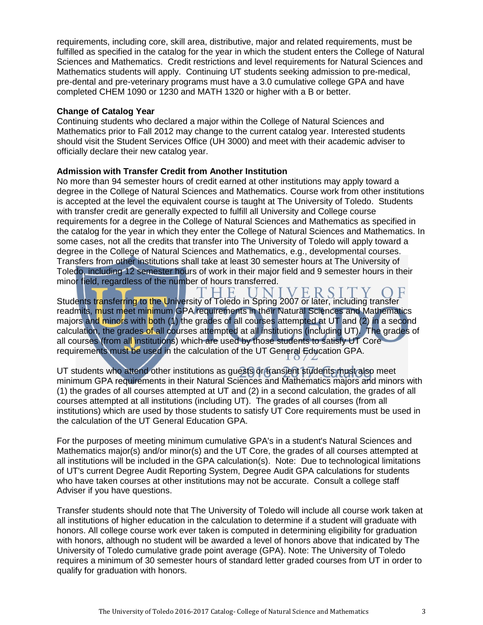requirements, including core, skill area, distributive, major and related requirements, must be fulfilled as specified in the catalog for the year in which the student enters the College of Natural Sciences and Mathematics. Credit restrictions and level requirements for Natural Sciences and Mathematics students will apply. Continuing UT students seeking admission to pre-medical, pre-dental and pre-veterinary programs must have a 3.0 cumulative college GPA and have completed CHEM 1090 or 1230 and MATH 1320 or higher with a B or better.

#### **Change of Catalog Year**

Continuing students who declared a major within the College of Natural Sciences and Mathematics prior to Fall 2012 may change to the current catalog year. Interested students should visit the Student Services Office (UH 3000) and meet with their academic adviser to officially declare their new catalog year.

#### **Admission with Transfer Credit from Another Institution**

No more than 94 semester hours of credit earned at other institutions may apply toward a degree in the College of Natural Sciences and Mathematics. Course work from other institutions is accepted at the level the equivalent course is taught at The University of Toledo. Students with transfer credit are generally expected to fulfill all University and College course requirements for a degree in the College of Natural Sciences and Mathematics as specified in the catalog for the year in which they enter the College of Natural Sciences and Mathematics. In some cases, not all the credits that transfer into The University of Toledo will apply toward a degree in the College of Natural Sciences and Mathematics, e.g., developmental courses. Transfers from other institutions shall take at least 30 semester hours at The University of Toledo, including 12 semester hours of work in their major field and 9 semester hours in their minor field, regardless of the number of hours transferred.

VERSI Students transferring to the University of Toledo in Spring 2007 or later, including transfer readmits, must meet minimum GPA requirements in their Natural Sciences and Mathematics majors and minors with both (1) the grades of all courses attempted at UT and (2) in a second calculation, the grades of all courses attempted at all institutions (including UT). The grades of all courses (from all institutions) which are used by those students to satisfy UT Core requirements must be used in the calculation of the UT General Education GPA.

UT students who attend other institutions as guests or transient students must also meet minimum GPA requirements in their Natural Sciences and Mathematics majors and minors with (1) the grades of all courses attempted at UT and (2) in a second calculation, the grades of all courses attempted at all institutions (including UT). The grades of all courses (from all institutions) which are used by those students to satisfy UT Core requirements must be used in the calculation of the UT General Education GPA.

For the purposes of meeting minimum cumulative GPA's in a student's Natural Sciences and Mathematics major(s) and/or minor(s) and the UT Core, the grades of all courses attempted at all institutions will be included in the GPA calculation(s). Note: Due to technological limitations of UT's current Degree Audit Reporting System, Degree Audit GPA calculations for students who have taken courses at other institutions may not be accurate. Consult a college staff Adviser if you have questions.

Transfer students should note that The University of Toledo will include all course work taken at all institutions of higher education in the calculation to determine if a student will graduate with honors. All college course work ever taken is computed in determining eligibility for graduation with honors, although no student will be awarded a level of honors above that indicated by The University of Toledo cumulative grade point average (GPA). Note: The University of Toledo requires a minimum of 30 semester hours of standard letter graded courses from UT in order to qualify for graduation with honors.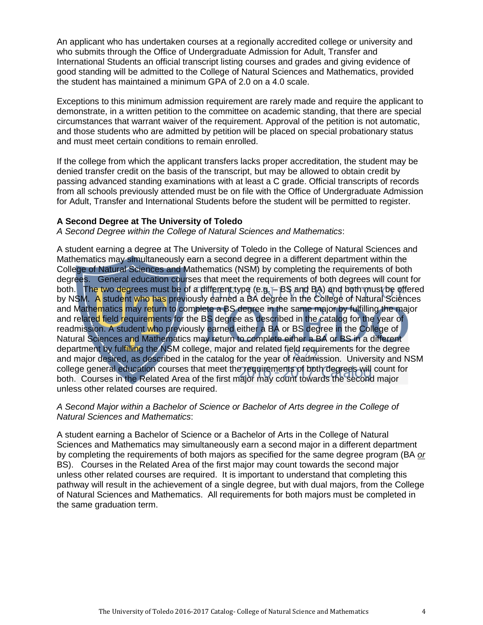An applicant who has undertaken courses at a regionally accredited college or university and who submits through the Office of Undergraduate Admission for Adult, Transfer and International Students an official transcript listing courses and grades and giving evidence of good standing will be admitted to the College of Natural Sciences and Mathematics, provided the student has maintained a minimum GPA of 2.0 on a 4.0 scale.

Exceptions to this minimum admission requirement are rarely made and require the applicant to demonstrate, in a written petition to the committee on academic standing, that there are special circumstances that warrant waiver of the requirement. Approval of the petition is not automatic, and those students who are admitted by petition will be placed on special probationary status and must meet certain conditions to remain enrolled.

If the college from which the applicant transfers lacks proper accreditation, the student may be denied transfer credit on the basis of the transcript, but may be allowed to obtain credit by passing advanced standing examinations with at least a C grade. Official transcripts of records from all schools previously attended must be on file with the Office of Undergraduate Admission for Adult, Transfer and International Students before the student will be permitted to register.

#### **A Second Degree at The University of Toledo**

*A Second Degree within the College of Natural Sciences and Mathematics*:

A student earning a degree at The University of Toledo in the College of Natural Sciences and Mathematics may simultaneously earn a second degree in a different department within the College of Natural Sciences and Mathematics (NSM) by completing the requirements of both degrees. General education courses that meet the requirements of both degrees will count for both. The two degrees must be of a different type (e.g. - BS and BA) and both must be offered by NSM. A student who has previously earned a BA degree in the College of Natural Sciences and Mathematics may return to complete a BS degree in the same major by fulfilling the major and related field requirements for the BS degree as described in the catalog for the year of readmission. A student who previously earned either a BA or BS degree in the College of Natural Sciences and Mathematics may return to complete either a BA or BS in a different department by fulfilling the NSM college, major and related field requirements for the degree and major desired, as described in the catalog for the year of readmission. University and NSM college general education courses that meet the requirements of both degrees will count for both. Courses in the Related Area of the first major may count towards the second major unless other related courses are required.

#### *A Second Major within a Bachelor of Science or Bachelor of Arts degree in the College of Natural Sciences and Mathematics*:

A student earning a Bachelor of Science or a Bachelor of Arts in the College of Natural Sciences and Mathematics may simultaneously earn a second major in a different department by completing the requirements of both majors as specified for the same degree program (BA *or* BS). Courses in the Related Area of the first major may count towards the second major unless other related courses are required. It is important to understand that completing this pathway will result in the achievement of a single degree, but with dual majors, from the College of Natural Sciences and Mathematics. All requirements for both majors must be completed in the same graduation term.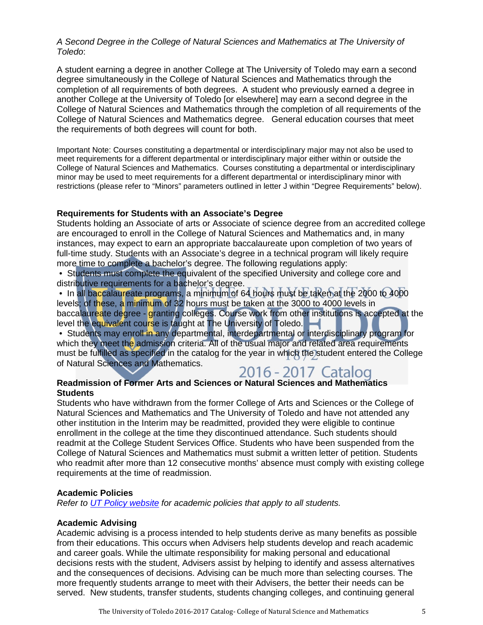#### *A Second Degree in the College of Natural Sciences and Mathematics at The University of Toledo*:

A student earning a degree in another College at The University of Toledo may earn a second degree simultaneously in the College of Natural Sciences and Mathematics through the completion of all requirements of both degrees. A student who previously earned a degree in another College at the University of Toledo [or elsewhere] may earn a second degree in the College of Natural Sciences and Mathematics through the completion of all requirements of the College of Natural Sciences and Mathematics degree. General education courses that meet the requirements of both degrees will count for both.

Important Note: Courses constituting a departmental or interdisciplinary major may not also be used to meet requirements for a different departmental or interdisciplinary major either within or outside the College of Natural Sciences and Mathematics. Courses constituting a departmental or interdisciplinary minor may be used to meet requirements for a different departmental or interdisciplinary minor with restrictions (please refer to "Minors" parameters outlined in letter J within "Degree Requirements" below).

#### **Requirements for Students with an Associate's Degree**

Students holding an Associate of arts or Associate of science degree from an accredited college are encouraged to enroll in the College of Natural Sciences and Mathematics and, in many instances, may expect to earn an appropriate baccalaureate upon completion of two years of full-time study. Students with an Associate's degree in a technical program will likely require more time to complete a bachelor's degree. The following regulations apply:

• Students must complete the equivalent of the specified University and college core and distributive requirements for a bachelor's degree.

• In all baccalaureate programs, a minimum of 64 hours must be taken at the 2000 to 4000 levels; of these, a minimum of 32 hours must be taken at the 3000 to 4000 levels in baccalaureate degree - granting colleges. Course work from other institutions is accepted at the level the equivalent course is taught at The University of Toledo.

• Students may enroll in any departmental, interdepartmental or interdisciplinary program for which they meet the admission criteria. All of the usual major and related area requirements must be fulfilled as specified in the catalog for the year in which the student entered the College of Natural Sciences and Mathematics.

# 2016 - 2017 Catalog

#### **Readmission of Former Arts and Sciences or Natural Sciences and Mathematics Students**

Students who have withdrawn from the former College of Arts and Sciences or the College of Natural Sciences and Mathematics and The University of Toledo and have not attended any other institution in the Interim may be readmitted, provided they were eligible to continue enrollment in the college at the time they discontinued attendance. Such students should readmit at the College Student Services Office. Students who have been suspended from the College of Natural Sciences and Mathematics must submit a written letter of petition. Students who readmit after more than 12 consecutive months' absence must comply with existing college requirements at the time of readmission.

#### **Academic Policies**

*Refer to [UT Policy website](http://utoledo.edu/policies/) for academic policies that apply to all students.*

#### **Academic Advising**

Academic advising is a process intended to help students derive as many benefits as possible from their educations. This occurs when Advisers help students develop and reach academic and career goals. While the ultimate responsibility for making personal and educational decisions rests with the student, Advisers assist by helping to identify and assess alternatives and the consequences of decisions. Advising can be much more than selecting courses. The more frequently students arrange to meet with their Advisers, the better their needs can be served. New students, transfer students, students changing colleges, and continuing general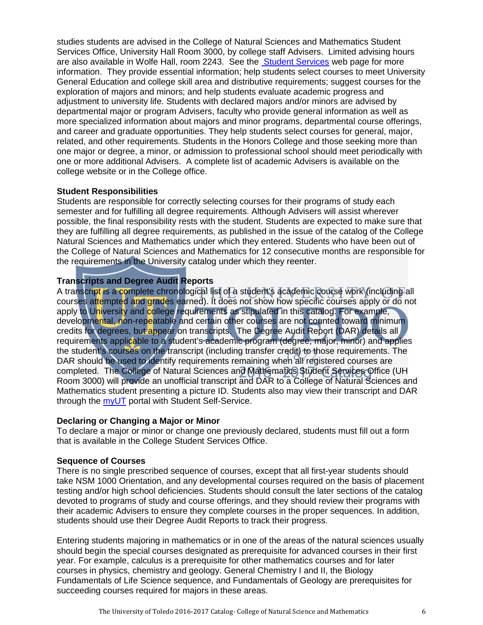studies students are advised in the College of Natural Sciences and Mathematics Student Services Office, University Hall Room 3000, by college staff Advisers. Limited advising hours are also available in Wolfe Hall, room 2243. See the [Student Services](http://www.utoledo.edu/offices/studentservices/index.html) web page for more information. They provide essential information; help students select courses to meet University General Education and college skill area and distributive requirements; suggest courses for the exploration of majors and minors; and help students evaluate academic progress and adjustment to university life. Students with declared majors and/or minors are advised by departmental major or program Advisers, faculty who provide general information as well as more specialized information about majors and minor programs, departmental course offerings, and career and graduate opportunities. They help students select courses for general, major, related, and other requirements. Students in the Honors College and those seeking more than one major or degree, a minor, or admission to professional school should meet periodically with one or more additional Advisers. A complete list of academic Advisers is available on the college website or in the College office.

#### **Student Responsibilities**

Students are responsible for correctly selecting courses for their programs of study each semester and for fulfilling all degree requirements. Although Advisers will assist wherever possible, the final responsibility rests with the student. Students are expected to make sure that they are fulfilling all degree requirements, as published in the issue of the catalog of the College Natural Sciences and Mathematics under which they entered. Students who have been out of the College of Natural Sciences and Mathematics for 12 consecutive months are responsible for the requirements in the University catalog under which they reenter.

#### **Transcripts and Degree Audit Reports**

A transcript is a complete chronological list of a student's academic course work (including all courses attempted and grades earned). It does not show how specific courses apply or do not apply to University and college requirements as stipulated in this catalog. For example, developmental, non-repeatable and certain other courses are not counted toward minimum credits for degrees, but appear on transcripts. The Degree Audit Report (DAR) details all requirements applicable to a student's academic program (degree, major, minor) and applies the student's courses on the transcript (including transfer credit) to those requirements. The DAR should be used to identify requirements remaining when all registered courses are completed. The College of Natural Sciences and Mathematics Student Services Office (UH Room 3000) will provide an unofficial transcript and DAR to a College of Natural Sciences and Mathematics student presenting a picture ID. Students also may view their transcript and DAR through the [myUT](http://myut.utoledo.edu/) portal with Student Self-Service.

#### **Declaring or Changing a Major or Minor**

To declare a major or minor or change one previously declared, students must fill out a form that is available in the College Student Services Office.

#### **Sequence of Courses**

There is no single prescribed sequence of courses, except that all first-year students should take NSM 1000 Orientation, and any developmental courses required on the basis of placement testing and/or high school deficiencies. Students should consult the later sections of the catalog devoted to programs of study and course offerings, and they should review their programs with their academic Advisers to ensure they complete courses in the proper sequences. In addition, students should use their Degree Audit Reports to track their progress.

Entering students majoring in mathematics or in one of the areas of the natural sciences usually should begin the special courses designated as prerequisite for advanced courses in their first year. For example, calculus is a prerequisite for other mathematics courses and for later courses in physics, chemistry and geology. General Chemistry I and II, the Biology Fundamentals of Life Science sequence, and Fundamentals of Geology are prerequisites for succeeding courses required for majors in these areas.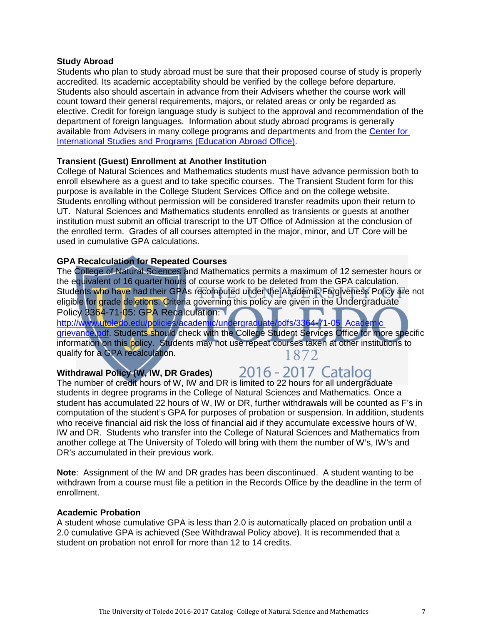#### **Study Abroad**

Students who plan to study abroad must be sure that their proposed course of study is properly accredited. Its academic acceptability should be verified by the college before departure. Students also should ascertain in advance from their Advisers whether the course work will count toward their general requirements, majors, or related areas or only be regarded as elective. Credit for foreign language study is subject to the approval and recommendation of the department of foreign languages. Information about study abroad programs is generally available from Advisers in many college programs and departments and from the [Center for](http://www.utoledo.edu/cisp/)  [International Studies and Programs \(Education Abroad Office\).](http://www.utoledo.edu/cisp/)

#### **Transient (Guest) Enrollment at Another Institution**

College of Natural Sciences and Mathematics students must have advance permission both to enroll elsewhere as a guest and to take specific courses. The Transient Student form for this purpose is available in the College Student Services Office and on the college website. Students enrolling without permission will be considered transfer readmits upon their return to UT. Natural Sciences and Mathematics students enrolled as transients or guests at another institution must submit an official transcript to the UT Office of Admission at the conclusion of the enrolled term. Grades of all courses attempted in the major, minor, and UT Core will be used in cumulative GPA calculations.

#### **GPA Recalculation for Repeated Courses**

The College of Natural Sciences and Mathematics permits a maximum of 12 semester hours or the equivalent of 16 quarter hours of course work to be deleted from the GPA calculation. Students who have had their GPAs recomputed under the Academic Forgiveness Policy are not eligible for grade deletions. Criteria governing this policy are given in the Undergraduate Policy 3364-71-05: GPA Recalculation: [http://www.utoledo.edu/policies/academic/undergraduate/pdfs/3364-71-05 Academic](http://www.utoledo.edu/policies/academic/undergraduate/pdfs/3364-71-05%20%20Academic%20grievance.pdf) 

[grievance.pdf.](http://www.utoledo.edu/policies/academic/undergraduate/pdfs/3364-71-05%20%20Academic%20grievance.pdf) Students should check with the College Student Services Office for more specific information on this policy. Students may not use repeat courses taken at other institutions to qualify for a GPA recalculation. 1872

### Withdrawal Policy (W, IW, DR Grades) 2016 - 2017 Catalog

The number of credit hours of W, IW and DR is limited to 22 hours for all undergraduate students in degree programs in the College of Natural Sciences and Mathematics. Once a student has accumulated 22 hours of W, IW or DR, further withdrawals will be counted as F's in computation of the student's GPA for purposes of probation or suspension. In addition, students who receive financial aid risk the loss of financial aid if they accumulate excessive hours of W, IW and DR. Students who transfer into the College of Natural Sciences and Mathematics from another college at The University of Toledo will bring with them the number of W's, IW's and DR's accumulated in their previous work.

**Note**: Assignment of the IW and DR grades has been discontinued. A student wanting to be withdrawn from a course must file a petition in the Records Office by the deadline in the term of enrollment.

#### **Academic Probation**

A student whose cumulative GPA is less than 2.0 is automatically placed on probation until a 2.0 cumulative GPA is achieved (See Withdrawal Policy above). It is recommended that a student on probation not enroll for more than 12 to 14 credits.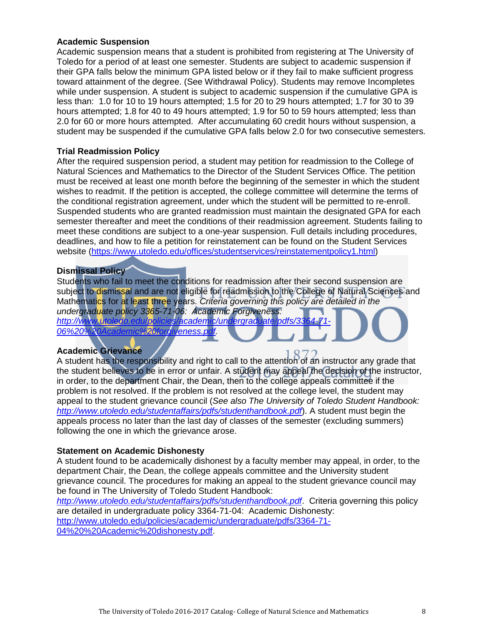#### **Academic Suspension**

Academic suspension means that a student is prohibited from registering at The University of Toledo for a period of at least one semester. Students are subject to academic suspension if their GPA falls below the minimum GPA listed below or if they fail to make sufficient progress toward attainment of the degree. (See Withdrawal Policy). Students may remove Incompletes while under suspension. A student is subject to academic suspension if the cumulative GPA is less than: 1.0 for 10 to 19 hours attempted; 1.5 for 20 to 29 hours attempted; 1.7 for 30 to 39 hours attempted; 1.8 for 40 to 49 hours attempted; 1.9 for 50 to 59 hours attempted; less than 2.0 for 60 or more hours attempted. After accumulating 60 credit hours without suspension, a student may be suspended if the cumulative GPA falls below 2.0 for two consecutive semesters.

#### **Trial Readmission Policy**

After the required suspension period, a student may petition for readmission to the College of Natural Sciences and Mathematics to the Director of the Student Services Office. The petition must be received at least one month before the beginning of the semester in which the student wishes to readmit. If the petition is accepted, the college committee will determine the terms of the conditional registration agreement, under which the student will be permitted to re-enroll. Suspended students who are granted readmission must maintain the designated GPA for each semester thereafter and meet the conditions of their readmission agreement. Students failing to meet these conditions are subject to a one-year suspension. Full details including procedures, deadlines, and how to file a petition for reinstatement can be found on the Student Services website [\(https://www.utoledo.edu/offices/studentservices/reinstatementpolicy1.html\)](https://www.utoledo.edu/offices/studentservices/reinstatementpolicy1.html)

#### **Dismissal Policy**

Students who fail to meet the conditions for readmission after their second suspension are subject to dismissal and are not eligible for readmission to the College of Natural Sciences and Mathematics for at least three years. *Criteria governing this policy are detailed in the undergraduate policy 3365-71-06: Academic Forgiveness:*  http://www.utoledo.edu/policies/academic/undergraduate/pdfs/33 *[06%20%20Academic%20forgiveness.pdf.](http://www.utoledo.edu/policies/academic/undergraduate/pdfs/3364-71-06%20%20Academic%20forgiveness.pdf)* 

#### **Academic Grievance**

A student has the responsibility and right to call to the attention of an instructor any grade that the student believes to be in error or unfair. A student may appeal the decision of the instructor, in order, to the department Chair, the Dean, then to the college appeals committee if the problem is not resolved. If the problem is not resolved at the college level, the student may appeal to the student grievance council (*See also The University of Toledo Student Handbook: <http://www.utoledo.edu/studentaffairs/pdfs/studenthandbook.pdf>*). A student must begin the appeals process no later than the last day of classes of the semester (excluding summers) following the one in which the grievance arose.

#### **Statement on Academic Dishonesty**

A student found to be academically dishonest by a faculty member may appeal, in order, to the department Chair, the Dean, the college appeals committee and the University student grievance council. The procedures for making an appeal to the student grievance council may be found in The University of Toledo Student Handbook:

*<http://www.utoledo.edu/studentaffairs/pdfs/studenthandbook.pdf>*. Criteria governing this policy are detailed in undergraduate policy 3364-71-04: Academic Dishonesty: [http://www.utoledo.edu/policies/academic/undergraduate/pdfs/3364-71-](http://www.utoledo.edu/policies/academic/undergraduate/pdfs/3364-71-04%20%20Academic%20dishonesty.pdf) [04%20%20Academic%20dishonesty.pdf.](http://www.utoledo.edu/policies/academic/undergraduate/pdfs/3364-71-04%20%20Academic%20dishonesty.pdf)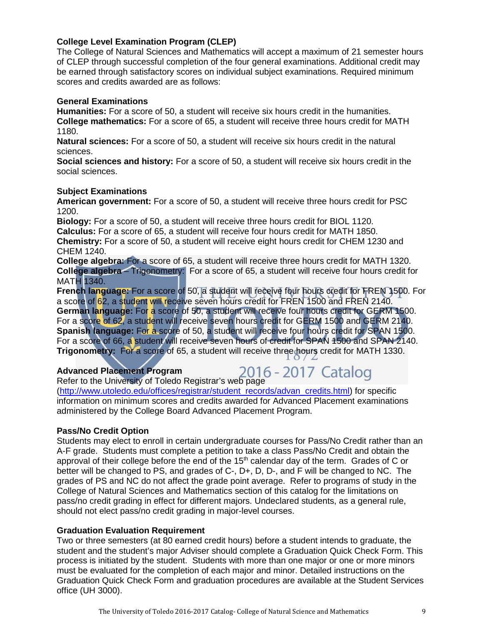#### **College Level Examination Program (CLEP)**

The College of Natural Sciences and Mathematics will accept a maximum of 21 semester hours of CLEP through successful completion of the four general examinations. Additional credit may be earned through satisfactory scores on individual subject examinations. Required minimum scores and credits awarded are as follows:

#### **General Examinations**

**Humanities:** For a score of 50, a student will receive six hours credit in the humanities. **College mathematics:** For a score of 65, a student will receive three hours credit for MATH 1180.

**Natural sciences:** For a score of 50, a student will receive six hours credit in the natural sciences.

**Social sciences and history:** For a score of 50, a student will receive six hours credit in the social sciences.

#### **Subject Examinations**

**American government:** For a score of 50, a student will receive three hours credit for PSC 1200.

**Biology:** For a score of 50, a student will receive three hours credit for BIOL 1120. **Calculus:** For a score of 65, a student will receive four hours credit for MATH 1850. **Chemistry:** For a score of 50, a student will receive eight hours credit for CHEM 1230 and CHEM 1240.

**College algebra:** For a score of 65, a student will receive three hours credit for MATH 1320. **College algebra** – Trigonometry: For a score of 65, a student will receive four hours credit for MATH 1340.

**French language:** For a score of 50, a student will receive four hours credit for FREN 1500. For a score of 62, a student will receive seven hours credit for FREN 1500 and FREN 2140. **German language:** For a score of 50, a student will receive four hours credit for GERM 1500. For a score of 62, a student will receive seven hours credit for GERM 1500 and GERM 2140. **Spanish language:** For a score of 50, a student will receive four hours credit for SPAN 1500. For a score of 66, a student will receive seven hours of credit for SPAN 1500 and SPAN 2140. **Trigonometry:** For a score of 65, a student will receive three hours credit for MATH 1330.

#### **Advanced Placement Program**

# Advanced Placement Program<br>Refer to the University of Toledo Registrar's web page

[\(http://www.utoledo.edu/offices/registrar/student\\_records/advan\\_credits.html\)](http://www.utoledo.edu/offices/registrar/student_records/advan_credits.html) for specific information on minimum scores and credits awarded for Advanced Placement examinations administered by the College Board Advanced Placement Program.

#### **Pass/No Credit Option**

Students may elect to enroll in certain undergraduate courses for Pass/No Credit rather than an A-F grade. Students must complete a petition to take a class Pass/No Credit and obtain the approval of their college before the end of the  $15<sup>th</sup>$  calendar day of the term. Grades of C or better will be changed to PS, and grades of C-, D+, D, D-, and F will be changed to NC. The grades of PS and NC do not affect the grade point average. Refer to programs of study in the College of Natural Sciences and Mathematics section of this catalog for the limitations on pass/no credit grading in effect for different majors. Undeclared students, as a general rule, should not elect pass/no credit grading in major-level courses.

#### **Graduation Evaluation Requirement**

Two or three semesters (at 80 earned credit hours) before a student intends to graduate, the student and the student's major Adviser should complete a Graduation Quick Check Form. This process is initiated by the student. Students with more than one major or one or more minors must be evaluated for the completion of each major and minor. Detailed instructions on the Graduation Quick Check Form and graduation procedures are available at the Student Services office (UH 3000).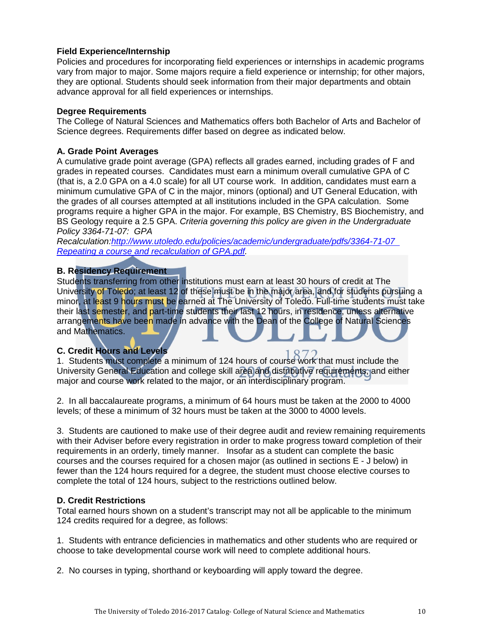#### **Field Experience/Internship**

Policies and procedures for incorporating field experiences or internships in academic programs vary from major to major. Some majors require a field experience or internship; for other majors, they are optional. Students should seek information from their major departments and obtain advance approval for all field experiences or internships.

#### **Degree Requirements**

The College of Natural Sciences and Mathematics offers both Bachelor of Arts and Bachelor of Science degrees. Requirements differ based on degree as indicated below.

#### **A. Grade Point Averages**

A cumulative grade point average (GPA) reflects all grades earned, including grades of F and grades in repeated courses. Candidates must earn a minimum overall cumulative GPA of C (that is, a 2.0 GPA on a 4.0 scale) for all UT course work. In addition, candidates must earn a minimum cumulative GPA of C in the major, minors (optional) and UT General Education, with the grades of all courses attempted at all institutions included in the GPA calculation. Some programs require a higher GPA in the major. For example, BS Chemistry, BS Biochemistry, and BS Geology require a 2.5 GPA. *Criteria governing this policy are given in the Undergraduate Policy 3364-71-07: GPA* 

*Recalculation[:http://www.utoledo.edu/policies/academic/undergraduate/pdfs/3364-71-07](http://www.utoledo.edu/policies/academic/undergraduate/pdfs/3364-71-07%20%20Repeating%20a%20course%20and%20recaluation%20of%20GPA.pdf)  [Repeating a course and recalculation](http://www.utoledo.edu/policies/academic/undergraduate/pdfs/3364-71-07%20%20Repeating%20a%20course%20and%20recaluation%20of%20GPA.pdf) of GPA.pdf.*

#### **B. Residency Requirement**

Students transferring from other institutions must earn at least 30 hours of credit at The University of Toledo; at least 12 of these must be in the major area, and for students pursuing a minor, at least 9 hours must be earned at The University of Toledo. Full-time students must take their last semester, and part-time students their last 12 hours, in residence, unless alternative arrangements have been made in advance with the Dean of the College of Natural Sciences and Mathematics.

#### **C. Credit Hours and Levels**

1. Students must complete a minimum of 124 hours of course work that must include the University General Education and college skill area and distributive requirements, and either major and course work related to the major, or an interdisciplinary program.

2. In all baccalaureate programs, a minimum of 64 hours must be taken at the 2000 to 4000 levels; of these a minimum of 32 hours must be taken at the 3000 to 4000 levels.

3. Students are cautioned to make use of their degree audit and review remaining requirements with their Adviser before every registration in order to make progress toward completion of their requirements in an orderly, timely manner. Insofar as a student can complete the basic courses and the courses required for a chosen major (as outlined in sections E - J below) in fewer than the 124 hours required for a degree, the student must choose elective courses to complete the total of 124 hours, subject to the restrictions outlined below.

#### **D. Credit Restrictions**

Total earned hours shown on a student's transcript may not all be applicable to the minimum 124 credits required for a degree, as follows:

1. Students with entrance deficiencies in mathematics and other students who are required or choose to take developmental course work will need to complete additional hours.

2. No courses in typing, shorthand or keyboarding will apply toward the degree.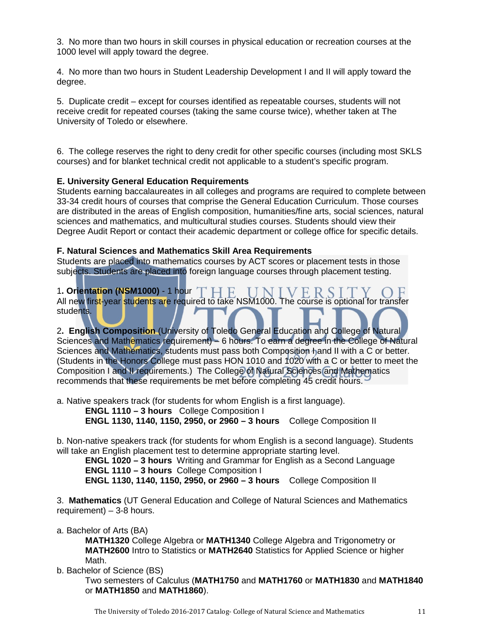3. No more than two hours in skill courses in physical education or recreation courses at the 1000 level will apply toward the degree.

4. No more than two hours in Student Leadership Development I and II will apply toward the degree.

5. Duplicate credit – except for courses identified as repeatable courses, students will not receive credit for repeated courses (taking the same course twice), whether taken at The University of Toledo or elsewhere.

6. The college reserves the right to deny credit for other specific courses (including most SKLS courses) and for blanket technical credit not applicable to a student's specific program.

#### **E. University General Education Requirements**

Students earning baccalaureates in all colleges and programs are required to complete between 33-34 credit hours of courses that comprise the General Education Curriculum. Those courses are distributed in the areas of English composition, humanities/fine arts, social sciences, natural sciences and mathematics, and multicultural studies courses. Students should view their Degree Audit Report or contact their academic department or college office for specific details.

#### **F. Natural Sciences and Mathematics Skill Area Requirements**

Students are placed into mathematics courses by ACT scores or placement tests in those subjects. Students are placed into foreign language courses through placement testing.

1**. Orientation (NSM1000)** - 1 hour VERS All new first-year students are required to take NSM1000. The course is optional for transfer students.

2**. English Composition** (University of Toledo General Education and College of Natural Sciences and Mathematics requirement) – 6 hours. To earn a degree in the College of Natural Sciences and Mathematics, students must pass both Composition hand II with a C or better. (Students in the Honors College must pass HON 1010 and 1020 with a C or better to meet the Composition I and II requirements.) The College of Natural Sciences and Mathematics recommends that these requirements be met before completing 45 credit hours.

a. Native speakers track (for students for whom English is a first language).

 **ENGL 1110 – 3 hours** College Composition I

 **ENGL 1130, 1140, 1150, 2950, or 2960 – 3 hours** College Composition II

b. Non-native speakers track (for students for whom English is a second language). Students will take an English placement test to determine appropriate starting level.

**ENGL 1020 – 3 hours** Writing and Grammar for English as a Second Language  **ENGL 1110 – 3 hours** College Composition I **ENGL 1130, 1140, 1150, 2950, or 2960 – 3 hours** College Composition II

3. **Mathematics** (UT General Education and College of Natural Sciences and Mathematics requirement) – 3-8 hours.

a. Bachelor of Arts (BA)

**MATH1320** College Algebra or **MATH1340** College Algebra and Trigonometry or **MATH2600** Intro to Statistics or **MATH2640** Statistics for Applied Science or higher Math.

b. Bachelor of Science (BS)

Two semesters of Calculus (**MATH1750** and **MATH1760** or **MATH1830** and **MATH1840** or **MATH1850** and **MATH1860**).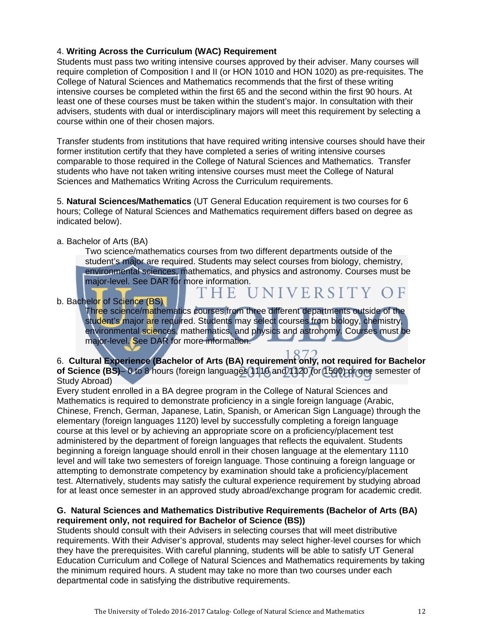#### 4. **Writing Across the Curriculum (WAC) Requirement**

Students must pass two writing intensive courses approved by their adviser. Many courses will require completion of Composition I and II (or HON 1010 and HON 1020) as pre-requisites. The College of Natural Sciences and Mathematics recommends that the first of these writing intensive courses be completed within the first 65 and the second within the first 90 hours. At least one of these courses must be taken within the student's major. In consultation with their advisers, students with dual or interdisciplinary majors will meet this requirement by selecting a course within one of their chosen majors.

Transfer students from institutions that have required writing intensive courses should have their former institution certify that they have completed a series of writing intensive courses comparable to those required in the College of Natural Sciences and Mathematics. Transfer students who have not taken writing intensive courses must meet the College of Natural Sciences and Mathematics Writing Across the Curriculum requirements.

5. **Natural Sciences/Mathematics** (UT General Education requirement is two courses for 6 hours; College of Natural Sciences and Mathematics requirement differs based on degree as indicated below).

F H E

#### a. Bachelor of Arts (BA)

Two science/mathematics courses from two different departments outside of the student's major are required. Students may select courses from biology, chemistry, environmental sciences, mathematics, and physics and astronomy. Courses must be major-level. See DAR for more information.

#### b. Bachelor of Science (BS)

Three science/mathematics courses from three different departments outside of the student's major are required. Students may select courses from biology, chemistry, environmental sciences, mathematics, and physics and astronomy. Courses must be major-level. See DAR for more information.

UNIVERSITY OF

6. **Cultural Experience (Bachelor of Arts (BA) requirement only, not required for Bachelor of Science (BS)**– 0 to 8 hours (foreign languages 1110 and 1120 (or 1500) or one semester of Study Abroad)

Every student enrolled in a BA degree program in the College of Natural Sciences and Mathematics is required to demonstrate proficiency in a single foreign language (Arabic, Chinese, French, German, Japanese, Latin, Spanish, or American Sign Language) through the elementary (foreign languages 1120) level by successfully completing a foreign language course at this level or by achieving an appropriate score on a proficiency/placement test administered by the department of foreign languages that reflects the equivalent. Students beginning a foreign language should enroll in their chosen language at the elementary 1110 level and will take two semesters of foreign language. Those continuing a foreign language or attempting to demonstrate competency by examination should take a proficiency/placement test. Alternatively, students may satisfy the cultural experience requirement by studying abroad for at least once semester in an approved study abroad/exchange program for academic credit.

#### **G. Natural Sciences and Mathematics Distributive Requirements (Bachelor of Arts (BA) requirement only, not required for Bachelor of Science (BS))**

Students should consult with their Advisers in selecting courses that will meet distributive requirements. With their Adviser's approval, students may select higher-level courses for which they have the prerequisites. With careful planning, students will be able to satisfy UT General Education Curriculum and College of Natural Sciences and Mathematics requirements by taking the minimum required hours. A student may take no more than two courses under each departmental code in satisfying the distributive requirements.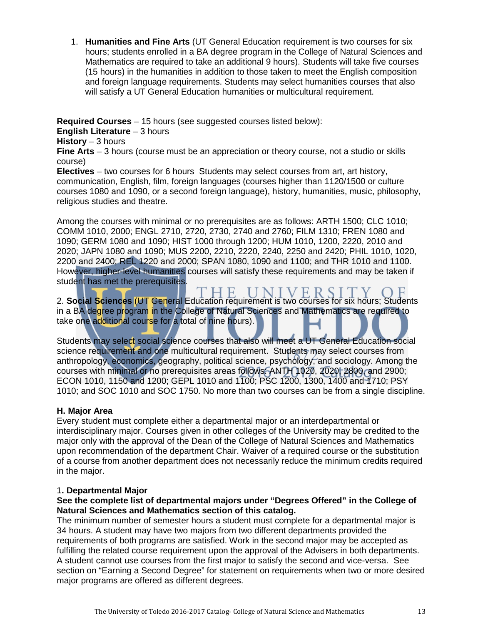1. **Humanities and Fine Arts** (UT General Education requirement is two courses for six hours; students enrolled in a BA degree program in the College of Natural Sciences and Mathematics are required to take an additional 9 hours). Students will take five courses (15 hours) in the humanities in addition to those taken to meet the English composition and foreign language requirements. Students may select humanities courses that also will satisfy a UT General Education humanities or multicultural requirement.

**Required Courses** – 15 hours (see suggested courses listed below):

**English Literature** – 3 hours

**History** – 3 hours

**Fine Arts** – 3 hours (course must be an appreciation or theory course, not a studio or skills course)

**Electives** – two courses for 6 hours Students may select courses from art, art history, communication, English, film, foreign languages (courses higher than 1120/1500 or culture courses 1080 and 1090, or a second foreign language), history, humanities, music, philosophy, religious studies and theatre.

Among the courses with minimal or no prerequisites are as follows: ARTH 1500; CLC 1010; COMM 1010, 2000; ENGL 2710, 2720, 2730, 2740 and 2760; FILM 1310; FREN 1080 and 1090; GERM 1080 and 1090; HIST 1000 through 1200; HUM 1010, 1200, 2220, 2010 and 2020; JAPN 1080 and 1090; MUS 2200, 2210, 2220, 2240, 2250 and 2420; PHIL 1010, 1020, 2200 and 2400; REL 1220 and 2000; SPAN 1080, 1090 and 1100; and THR 1010 and 1100. However, higher-level humanities courses will satisfy these requirements and may be taken if student has met the prerequisites.

H E. **IINIVERS** 2. **Social Sciences** (UT General Education requirement is two courses for six hours; Students in a BA degree program in the College of Natural Sciences and Mathematics are required to take one additional course for a total of nine hours).

Students may select social science courses that also will meet a UT General Education social science requirement and one multicultural requirement. Students may select courses from anthropology, economics, geography, political science, psychology, and sociology. Among the courses with minimal or no prerequisites areas follows: ANTH 1020, 2020, 2800, and 2900; ECON 1010, 1150 and 1200; GEPL 1010 and 1100; PSC 1200, 1300, 1400 and 1710; PSY 1010; and SOC 1010 and SOC 1750. No more than two courses can be from a single discipline.

#### **H. Major Area**

Every student must complete either a departmental major or an interdepartmental or interdisciplinary major. Courses given in other colleges of the University may be credited to the major only with the approval of the Dean of the College of Natural Sciences and Mathematics upon recommendation of the department Chair. Waiver of a required course or the substitution of a course from another department does not necessarily reduce the minimum credits required in the major.

#### 1**. Departmental Major**

#### **See the complete list of departmental majors under "Degrees Offered" in the College of Natural Sciences and Mathematics section of this catalog.**

The minimum number of semester hours a student must complete for a departmental major is 34 hours. A student may have two majors from two different departments provided the requirements of both programs are satisfied. Work in the second major may be accepted as fulfilling the related course requirement upon the approval of the Advisers in both departments. A student cannot use courses from the first major to satisfy the second and vice-versa. See section on "Earning a Second Degree" for statement on requirements when two or more desired major programs are offered as different degrees.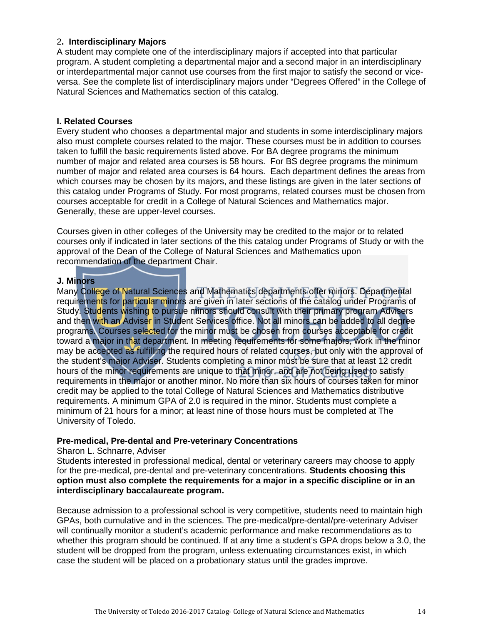#### 2**. Interdisciplinary Majors**

A student may complete one of the interdisciplinary majors if accepted into that particular program. A student completing a departmental major and a second major in an interdisciplinary or interdepartmental major cannot use courses from the first major to satisfy the second or viceversa. See the complete list of interdisciplinary majors under "Degrees Offered" in the College of Natural Sciences and Mathematics section of this catalog.

#### **I. Related Courses**

Every student who chooses a departmental major and students in some interdisciplinary majors also must complete courses related to the major. These courses must be in addition to courses taken to fulfill the basic requirements listed above. For BA degree programs the minimum number of major and related area courses is 58 hours. For BS degree programs the minimum number of major and related area courses is 64 hours. Each department defines the areas from which courses may be chosen by its majors, and these listings are given in the later sections of this catalog under Programs of Study. For most programs, related courses must be chosen from courses acceptable for credit in a College of Natural Sciences and Mathematics major. Generally, these are upper-level courses.

Courses given in other colleges of the University may be credited to the major or to related courses only if indicated in later sections of the this catalog under Programs of Study or with the approval of the Dean of the College of Natural Sciences and Mathematics upon recommendation of the department Chair.

#### **J. Minors**

Many College of Natural Sciences and Mathematics departments offer minors. Departmental requirements for particular minors are given in later sections of the catalog under Programs of Study. Students wishing to pursue minors should consult with their primary program Advisers and then with an Adviser in Student Services office. Not all minors can be added to all degree programs. Courses selected for the minor must be chosen from courses acceptable for credit toward a major in that department. In meeting requirements for some majors, work in the minor may be accepted as fulfilling the required hours of related courses, but only with the approval of the student's major Adviser. Students completing a minor must be sure that at least 12 credit hours of the minor requirements are unique to that minor, and are not being used to satisfy requirements in the major or another minor. No more than six hours of courses taken for minor credit may be applied to the total College of Natural Sciences and Mathematics distributive requirements. A minimum GPA of 2.0 is required in the minor. Students must complete a minimum of 21 hours for a minor; at least nine of those hours must be completed at The University of Toledo.

#### **Pre-medical, Pre-dental and Pre-veterinary Concentrations**

#### Sharon L. Schnarre, Adviser

Students interested in professional medical, dental or veterinary careers may choose to apply for the pre-medical, pre-dental and pre-veterinary concentrations. **Students choosing this option must also complete the requirements for a major in a specific discipline or in an interdisciplinary baccalaureate program.** 

Because admission to a professional school is very competitive, students need to maintain high GPAs, both cumulative and in the sciences. The pre-medical/pre-dental/pre-veterinary Adviser will continually monitor a student's academic performance and make recommendations as to whether this program should be continued. If at any time a student's GPA drops below a 3.0, the student will be dropped from the program, unless extenuating circumstances exist, in which case the student will be placed on a probationary status until the grades improve.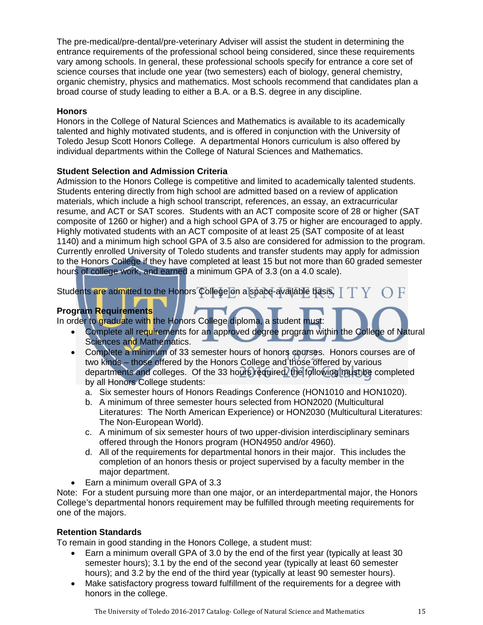The pre-medical/pre-dental/pre-veterinary Adviser will assist the student in determining the entrance requirements of the professional school being considered, since these requirements vary among schools. In general, these professional schools specify for entrance a core set of science courses that include one year (two semesters) each of biology, general chemistry, organic chemistry, physics and mathematics. Most schools recommend that candidates plan a broad course of study leading to either a B.A. or a B.S. degree in any discipline.

#### **Honors**

Honors in the College of Natural Sciences and Mathematics is available to its academically talented and highly motivated students, and is offered in conjunction with the University of Toledo Jesup Scott Honors College. A departmental Honors curriculum is also offered by individual departments within the College of Natural Sciences and Mathematics.

#### **Student Selection and Admission Criteria**

Admission to the Honors College is competitive and limited to academically talented students. Students entering directly from high school are admitted based on a review of application materials, which include a high school transcript, references, an essay, an extracurricular resume, and ACT or SAT scores. Students with an ACT composite score of 28 or higher (SAT composite of 1260 or higher) and a high school GPA of 3.75 or higher are encouraged to apply. Highly motivated students with an ACT composite of at least 25 (SAT composite of at least 1140) and a minimum high school GPA of 3.5 also are considered for admission to the program. Currently enrolled University of Toledo students and transfer students may apply for admission to the Honors College if they have completed at least 15 but not more than 60 graded semester hours of college work, and earned a minimum GPA of 3.3 (on a 4.0 scale).

Students are admitted to the Honors College on a space-available basis. T

#### **Program Requirements**

In order to graduate with the Honors College diploma, a student must:

- Complete all requirements for an approved degree program within the College of Natural Sciences and Mathematics.
- Complete a minimum of 33 semester hours of honors courses. Honors courses are of two kinds – those offered by the Honors College and those offered by various departments and colleges. Of the 33 hours required, the following must be completed by all Honors College students:
	- a. Six semester hours of Honors Readings Conference (HON1010 and HON1020).
	- b. A minimum of three semester hours selected from HON2020 (Multicultural Literatures: The North American Experience) or HON2030 (Multicultural Literatures: The Non-European World).
	- c. A minimum of six semester hours of two upper-division interdisciplinary seminars offered through the Honors program (HON4950 and/or 4960).
	- d. All of the requirements for departmental honors in their major. This includes the completion of an honors thesis or project supervised by a faculty member in the major department.
- Earn a minimum overall GPA of 3.3

Note: For a student pursuing more than one major, or an interdepartmental major, the Honors College's departmental honors requirement may be fulfilled through meeting requirements for one of the majors.

#### **Retention Standards**

To remain in good standing in the Honors College, a student must:

- Earn a minimum overall GPA of 3.0 by the end of the first year (typically at least 30 semester hours); 3.1 by the end of the second year (typically at least 60 semester hours); and 3.2 by the end of the third year (typically at least 90 semester hours).
- Make satisfactory progress toward fulfillment of the requirements for a degree with honors in the college.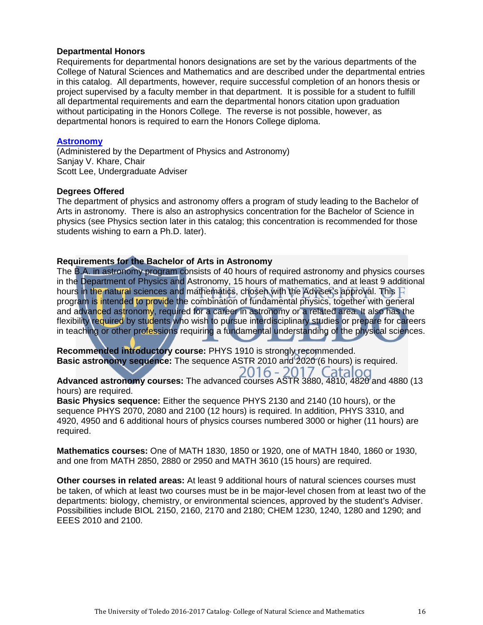#### **Departmental Honors**

Requirements for departmental honors designations are set by the various departments of the College of Natural Sciences and Mathematics and are described under the departmental entries in this catalog. All departments, however, require successful completion of an honors thesis or project supervised by a faculty member in that department. It is possible for a student to fulfill all departmental requirements and earn the departmental honors citation upon graduation without participating in the Honors College. The reverse is not possible, however, as departmental honors is required to earn the Honors College diploma.

#### **[Astronomy](http://www.utoledo.edu/nsm/physast/index.html)**

(Administered by the Department of Physics and Astronomy) Sanjay V. Khare, Chair Scott Lee, Undergraduate Adviser

#### **Degrees Offered**

The department of physics and astronomy offers a program of study leading to the Bachelor of Arts in astronomy. There is also an astrophysics concentration for the Bachelor of Science in physics (see Physics section later in this catalog; this concentration is recommended for those students wishing to earn a Ph.D. later).

#### **Requirements for the Bachelor of Arts in Astronomy**

The B.A. in astronomy program consists of 40 hours of required astronomy and physics courses in the Department of Physics and Astronomy, 15 hours of mathematics, and at least 9 additional hours in the natural sciences and mathematics, chosen with the Adviser's approval. This  $F$ program is intended to provide the combination of fundamental physics, together with general and advanced astronomy, required for a career in astronomy or a related area. It also has the flexibility required by students who wish to pursue interdisciplinary studies or prepare for careers in teaching or other professions requiring a fundamental understanding of the physical sciences.

**Recommended introductory course:** PHYS 1910 is strongly recommended. **Basic astronomy sequence:** The sequence ASTR 2010 and 2020 (6 hours) is required. 2016 - 2017 Catalog

**Advanced astronomy courses:** The advanced courses ASTR 3880, 4810, 4820 and 4880 (13 hours) are required.

**Basic Physics sequence:** Either the sequence PHYS 2130 and 2140 (10 hours), or the sequence PHYS 2070, 2080 and 2100 (12 hours) is required. In addition, PHYS 3310, and 4920, 4950 and 6 additional hours of physics courses numbered 3000 or higher (11 hours) are required.

**Mathematics courses:** One of MATH 1830, 1850 or 1920, one of MATH 1840, 1860 or 1930, and one from MATH 2850, 2880 or 2950 and MATH 3610 (15 hours) are required.

**Other courses in related areas:** At least 9 additional hours of natural sciences courses must be taken, of which at least two courses must be in be major-level chosen from at least two of the departments: biology, chemistry, or environmental sciences, approved by the student's Adviser. Possibilities include BIOL 2150, 2160, 2170 and 2180; CHEM 1230, 1240, 1280 and 1290; and EEES 2010 and 2100.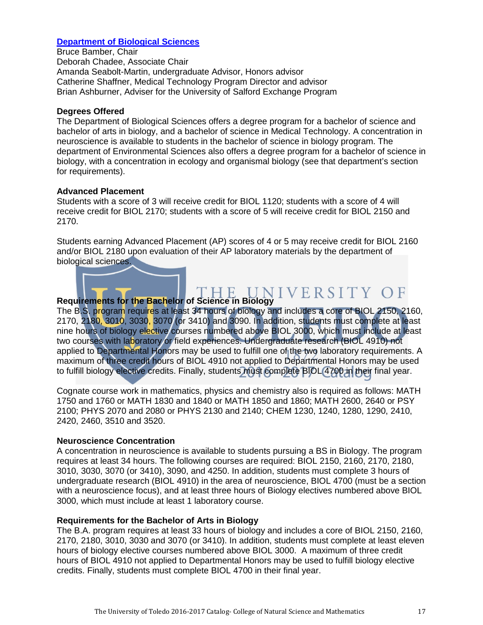#### **[Department of Biological Sciences](http://www.utoledo.edu/nsm/bio/index.html)**

Bruce Bamber, Chair Deborah Chadee, Associate Chair Amanda Seabolt-Martin, undergraduate Advisor, Honors advisor Catherine Shaffner, Medical Technology Program Director and advisor Brian Ashburner, Adviser for the University of Salford Exchange Program

#### **Degrees Offered**

The Department of Biological Sciences offers a degree program for a bachelor of science and bachelor of arts in biology, and a bachelor of science in Medical Technology. A concentration in neuroscience is available to students in the bachelor of science in biology program. The department of Environmental Sciences also offers a degree program for a bachelor of science in biology, with a concentration in ecology and organismal biology (see that department's section for requirements).

#### **Advanced Placement**

Students with a score of 3 will receive credit for BIOL 1120; students with a score of 4 will receive credit for BIOL 2170; students with a score of 5 will receive credit for BIOL 2150 and 2170.

Students earning Advanced Placement (AP) scores of 4 or 5 may receive credit for BIOL 2160 and/or BIOL 2180 upon evaluation of their AP laboratory materials by the department of biological sciences.

# **Requirements for the Bachelor of Science in Biology**

The B.S. program requires at least 34 hours of biology and includes a core of BIOL 2150, 2160, 2170, 2180, 3010, 3030, 3070 (or 3410) and 3090. In addition, students must complete at least nine hours of biology elective courses numbered above BIOL 3000, which must include at least two courses with laboratory or field experiences. Undergraduate research (BIOL 4910) not applied to Departmental Honors may be used to fulfill one of the two laboratory requirements. A maximum of three credit hours of BIOL 4910 not applied to Departmental Honors may be used to fulfill biology elective credits. Finally, students must complete BIOL 4700 in their final year.

Cognate course work in mathematics, physics and chemistry also is required as follows: MATH 1750 and 1760 or MATH 1830 and 1840 or MATH 1850 and 1860; MATH 2600, 2640 or PSY 2100; PHYS 2070 and 2080 or PHYS 2130 and 2140; CHEM 1230, 1240, 1280, 1290, 2410, 2420, 2460, 3510 and 3520.

#### **Neuroscience Concentration**

A concentration in neuroscience is available to students pursuing a BS in Biology. The program requires at least 34 hours. The following courses are required: BIOL 2150, 2160, 2170, 2180, 3010, 3030, 3070 (or 3410), 3090, and 4250. In addition, students must complete 3 hours of undergraduate research (BIOL 4910) in the area of neuroscience, BIOL 4700 (must be a section with a neuroscience focus), and at least three hours of Biology electives numbered above BIOL 3000, which must include at least 1 laboratory course.

#### **Requirements for the Bachelor of Arts in Biology**

The B.A. program requires at least 33 hours of biology and includes a core of BIOL 2150, 2160, 2170, 2180, 3010, 3030 and 3070 (or 3410). In addition, students must complete at least eleven hours of biology elective courses numbered above BIOL 3000. A maximum of three credit hours of BIOL 4910 not applied to Departmental Honors may be used to fulfill biology elective credits. Finally, students must complete BIOL 4700 in their final year.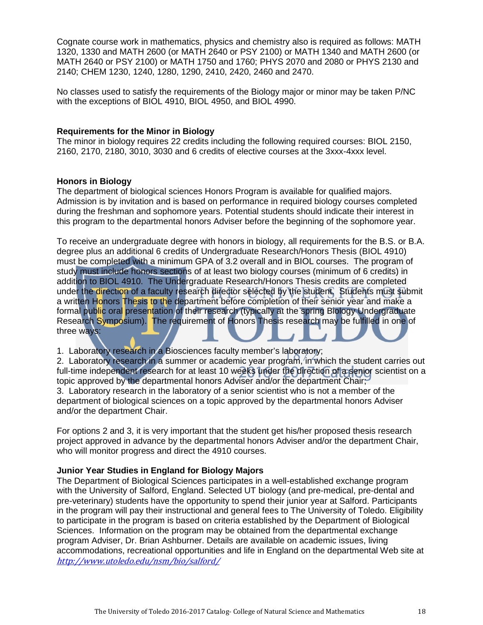Cognate course work in mathematics, physics and chemistry also is required as follows: MATH 1320, 1330 and MATH 2600 (or MATH 2640 or PSY 2100) or MATH 1340 and MATH 2600 (or MATH 2640 or PSY 2100) or MATH 1750 and 1760; PHYS 2070 and 2080 or PHYS 2130 and 2140; CHEM 1230, 1240, 1280, 1290, 2410, 2420, 2460 and 2470.

No classes used to satisfy the requirements of the Biology major or minor may be taken P/NC with the exceptions of BIOL 4910, BIOL 4950, and BIOL 4990.

#### **Requirements for the Minor in Biology**

The minor in biology requires 22 credits including the following required courses: BIOL 2150, 2160, 2170, 2180, 3010, 3030 and 6 credits of elective courses at the 3xxx-4xxx level.

#### **Honors in Biology**

The department of biological sciences Honors Program is available for qualified majors. Admission is by invitation and is based on performance in required biology courses completed during the freshman and sophomore years. Potential students should indicate their interest in this program to the departmental honors Adviser before the beginning of the sophomore year.

To receive an undergraduate degree with honors in biology, all requirements for the B.S. or B.A. degree plus an additional 6 credits of Undergraduate Research/Honors Thesis (BIOL 4910) must be completed with a minimum GPA of 3.2 overall and in BIOL courses. The program of study must include honors sections of at least two biology courses (minimum of 6 credits) in addition to BIOL 4910. The Undergraduate Research/Honors Thesis credits are completed under the direction of a faculty research director selected by the student. Students must submit a written Honors Thesis to the department before completion of their senior year and make a formal public oral presentation of their research (typically at the spring Biology Undergraduate Research Symposium). The requirement of Honors Thesis research may be fulfilled in one of three ways:

1. Laboratory research in a Biosciences faculty member's laboratory;

2. Laboratory research in a summer or academic year program, in which the student carries out full-time independent research for at least 10 weeks under the direction of a senior scientist on a topic approved by the departmental honors Adviser and/or the department Chair; 3. Laboratory research in the laboratory of a senior scientist who is not a member of the department of biological sciences on a topic approved by the departmental honors Adviser and/or the department Chair.

For options 2 and 3, it is very important that the student get his/her proposed thesis research project approved in advance by the departmental honors Adviser and/or the department Chair, who will monitor progress and direct the 4910 courses.

#### **Junior Year Studies in England for Biology Majors**

The Department of Biological Sciences participates in a well-established exchange program with the University of Salford, England. Selected UT biology (and pre-medical, pre-dental and pre-veterinary) students have the opportunity to spend their junior year at Salford. Participants in the program will pay their instructional and general fees to The University of Toledo. Eligibility to participate in the program is based on criteria established by the Department of Biological Sciences. Information on the program may be obtained from the departmental exchange program Adviser, Dr. Brian Ashburner. Details are available on academic issues, living accommodations, recreational opportunities and life in England on the departmental Web site at <http://www.utoledo.edu/nsm/bio/salford/>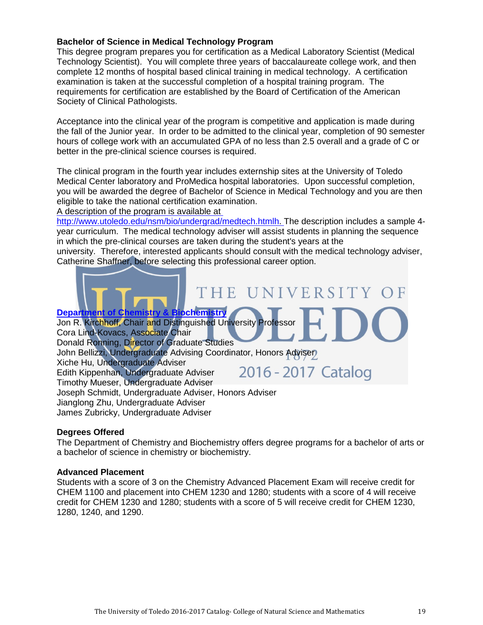#### **Bachelor of Science in Medical Technology Program**

This degree program prepares you for certification as a Medical Laboratory Scientist (Medical Technology Scientist). You will complete three years of baccalaureate college work, and then complete 12 months of hospital based clinical training in medical technology. A certification examination is taken at the successful completion of a hospital training program. The requirements for certification are established by the Board of Certification of the American Society of Clinical Pathologists.

Acceptance into the clinical year of the program is competitive and application is made during the fall of the Junior year. In order to be admitted to the clinical year, completion of 90 semester hours of college work with an accumulated GPA of no less than 2.5 overall and a grade of C or better in the pre-clinical science courses is required.

The clinical program in the fourth year includes externship sites at the University of Toledo Medical Center laboratory and ProMedica hospital laboratories. Upon successful completion, you will be awarded the degree of Bachelor of Science in Medical Technology and you are then eligible to take the national certification examination.

A description of the program is available at

[http://www.utoledo.edu/nsm/bio/undergrad/medtech.htmlh.](http://www.utoledo.edu/nsm/bio/undergrad/medtech.html) The description includes a sample 4year curriculum. The medical technology adviser will assist students in planning the sequence in which the pre-clinical courses are taken during the student's years at the university. Therefore, interested applicants should consult with the medical technology adviser, Catherine Shaffner, before selecting this professional career option.

# THE U NIVERSITY **[Department of Chemistry](http://www.utoledo.edu/nsm/chemistry/index.html) & Biochemistry**

Jon R. Kirchhoff, Chair and Distinguished University Professor Cora Lind-Kovacs, Associate Chair Donald Ronning, Director of Graduate Studies John Bellizzi, Undergraduate Advising Coordinator, Honors Adviser Xiche Hu, Undergraduate Adviser 2016 - 2017 Catalog Edith Kippenhan, Undergraduate Adviser Timothy Mueser, Undergraduate Adviser Joseph Schmidt, Undergraduate Adviser, Honors Adviser Jianglong Zhu, Undergraduate Adviser

James Zubricky, Undergraduate Adviser

#### **Degrees Offered**

The Department of Chemistry and Biochemistry offers degree programs for a bachelor of arts or a bachelor of science in chemistry or biochemistry.

#### **Advanced Placement**

Students with a score of 3 on the Chemistry Advanced Placement Exam will receive credit for CHEM 1100 and placement into CHEM 1230 and 1280; students with a score of 4 will receive credit for CHEM 1230 and 1280; students with a score of 5 will receive credit for CHEM 1230, 1280, 1240, and 1290.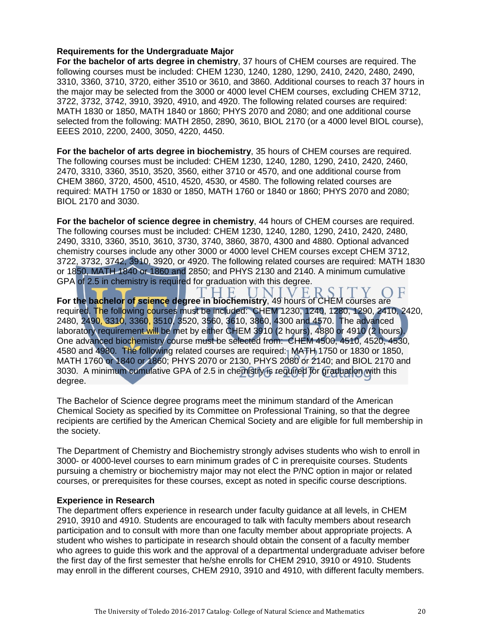#### **Requirements for the Undergraduate Major**

**For the bachelor of arts degree in chemistry**, 37 hours of CHEM courses are required. The following courses must be included: CHEM 1230, 1240, 1280, 1290, 2410, 2420, 2480, 2490, 3310, 3360, 3710, 3720, either 3510 or 3610, and 3860. Additional courses to reach 37 hours in the major may be selected from the 3000 or 4000 level CHEM courses, excluding CHEM 3712, 3722, 3732, 3742, 3910, 3920, 4910, and 4920. The following related courses are required: MATH 1830 or 1850, MATH 1840 or 1860; PHYS 2070 and 2080; and one additional course selected from the following: MATH 2850, 2890, 3610, BIOL 2170 (or a 4000 level BIOL course), EEES 2010, 2200, 2400, 3050, 4220, 4450.

**For the bachelor of arts degree in biochemistry**, 35 hours of CHEM courses are required. The following courses must be included: CHEM 1230, 1240, 1280, 1290, 2410, 2420, 2460, 2470, 3310, 3360, 3510, 3520, 3560, either 3710 or 4570, and one additional course from CHEM 3860, 3720, 4500, 4510, 4520, 4530, or 4580. The following related courses are required: MATH 1750 or 1830 or 1850, MATH 1760 or 1840 or 1860; PHYS 2070 and 2080; BIOL 2170 and 3030.

**For the bachelor of science degree in chemistry**, 44 hours of CHEM courses are required. The following courses must be included: CHEM 1230, 1240, 1280, 1290, 2410, 2420, 2480, 2490, 3310, 3360, 3510, 3610, 3730, 3740, 3860, 3870, 4300 and 4880. Optional advanced chemistry courses include any other 3000 or 4000 level CHEM courses except CHEM 3712, 3722, 3732, 3742, 3910, 3920, or 4920. The following related courses are required: MATH 1830 or 1850, MATH 1840 or 1860 and 2850; and PHYS 2130 and 2140. A minimum cumulative GPA of 2.5 in chemistry is required for graduation with this degree.

VE F  $Y$  OF **For the bachelor of science degree in biochemistry**, 49 hours of CHEM courses are required. The following courses must be included: CHEM 1230, 1240, 1280, 1290, 2410, 2420, 2480, 2490, 3310, 3360, 3510, 3520, 3560, 3610, 3860, 4300 and 4570. The advanced laboratory requirement will be met by either CHEM 3910 (2 hours), 4880 or 4910 (2 hours). One advanced biochemistry course must be selected from: CHEM 4500, 4510, 4520, 4530, 4580 and 4980. The following related courses are required: MATH 1750 or 1830 or 1850, MATH 1760 or 1840 or 1860; PHYS 2070 or 2130, PHYS 2080 or 2140; and BIOL 2170 and 3030. A minimum cumulative GPA of 2.5 in chemistry is required for graduation with this degree.

The Bachelor of Science degree programs meet the minimum standard of the American Chemical Society as specified by its Committee on Professional Training, so that the degree recipients are certified by the American Chemical Society and are eligible for full membership in the society.

The Department of Chemistry and Biochemistry strongly advises students who wish to enroll in 3000- or 4000-level courses to earn minimum grades of C in prerequisite courses. Students pursuing a chemistry or biochemistry major may not elect the P/NC option in major or related courses, or prerequisites for these courses, except as noted in specific course descriptions.

#### **Experience in Research**

The department offers experience in research under faculty guidance at all levels, in CHEM 2910, 3910 and 4910. Students are encouraged to talk with faculty members about research participation and to consult with more than one faculty member about appropriate projects. A student who wishes to participate in research should obtain the consent of a faculty member who agrees to guide this work and the approval of a departmental undergraduate adviser before the first day of the first semester that he/she enrolls for CHEM 2910, 3910 or 4910. Students may enroll in the different courses, CHEM 2910, 3910 and 4910, with different faculty members.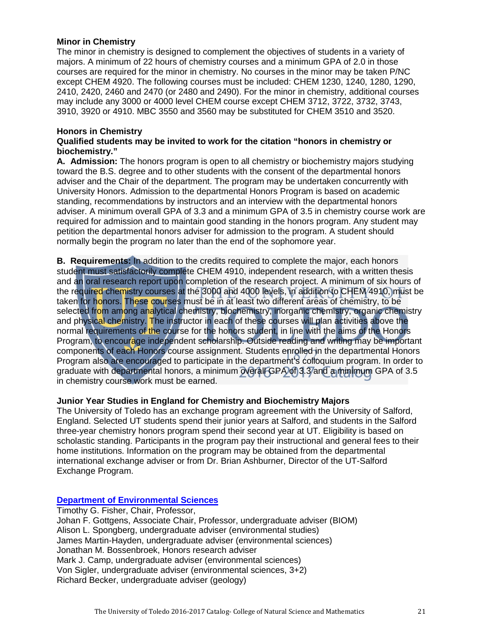#### **Minor in Chemistry**

The minor in chemistry is designed to complement the objectives of students in a variety of majors. A minimum of 22 hours of chemistry courses and a minimum GPA of 2.0 in those courses are required for the minor in chemistry. No courses in the minor may be taken P/NC except CHEM 4920. The following courses must be included: CHEM 1230, 1240, 1280, 1290, 2410, 2420, 2460 and 2470 (or 2480 and 2490). For the minor in chemistry, additional courses may include any 3000 or 4000 level CHEM course except CHEM 3712, 3722, 3732, 3743, 3910, 3920 or 4910. MBC 3550 and 3560 may be substituted for CHEM 3510 and 3520.

#### **Honors in Chemistry**

#### **Qualified students may be invited to work for the citation "honors in chemistry or biochemistry."**

**A. Admission:** The honors program is open to all chemistry or biochemistry majors studying toward the B.S. degree and to other students with the consent of the departmental honors adviser and the Chair of the department. The program may be undertaken concurrently with University Honors. Admission to the departmental Honors Program is based on academic standing, recommendations by instructors and an interview with the departmental honors adviser. A minimum overall GPA of 3.3 and a minimum GPA of 3.5 in chemistry course work are required for admission and to maintain good standing in the honors program. Any student may petition the departmental honors adviser for admission to the program. A student should normally begin the program no later than the end of the sophomore year.

**B. Requirements:** In addition to the credits required to complete the major, each honors student must satisfactorily complete CHEM 4910, independent research, with a written thesis and an oral research report upon completion of the research project. A minimum of six hours of the required chemistry courses at the 3000 and 4000 levels, in addition to CHEM 4910, must be taken for honors. These courses must be in at least two different areas of chemistry, to be selected from among analytical chemistry, biochemistry, inorganic chemistry, organic chemistry and physical chemistry. The instructor in each of these courses will plan activities above the normal requirements of the course for the honors student, in line with the aims of the Honors Program, to encourage independent scholarship. Outside reading and writing may be important components of each Honors course assignment. Students enrolled in the departmental Honors Program also are encouraged to participate in the department's colloquium program. In order to graduate with departmental honors, a minimum overall GPA of 3.3 and a minimum GPA of 3.5 in chemistry course work must be earned.

#### **Junior Year Studies in England for Chemistry and Biochemistry Majors**

The University of Toledo has an exchange program agreement with the University of Salford, England. Selected UT students spend their junior years at Salford, and students in the Salford three-year chemistry honors program spend their second year at UT. Eligibility is based on scholastic standing. Participants in the program pay their instructional and general fees to their home institutions. Information on the program may be obtained from the departmental international exchange adviser or from Dr. Brian Ashburner, Director of the UT-Salford Exchange Program.

**[Department of Environmental Sciences](http://www.utoledo.edu/nsm/envsciences/index.html)**

Timothy G. Fisher, Chair, Professor, Johan F. Gottgens, Associate Chair, Professor, undergraduate adviser (BIOM) Alison L. Spongberg, undergraduate adviser (environmental studies) James Martin-Hayden, undergraduate adviser (environmental sciences) Jonathan M. Bossenbroek, Honors research adviser Mark J. Camp, undergraduate adviser (environmental sciences) Von Sigler, undergraduate adviser (environmental sciences, 3+2) Richard Becker, undergraduate adviser (geology)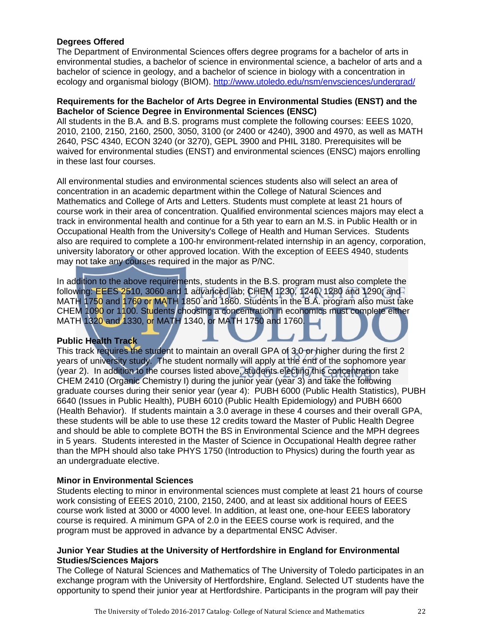#### **Degrees Offered**

The Department of Environmental Sciences offers degree programs for a bachelor of arts in environmental studies, a bachelor of science in environmental science, a bachelor of arts and a bachelor of science in geology, and a bachelor of science in biology with a concentration in ecology and organismal biology (BIOM).<http://www.utoledo.edu/nsm/envsciences/undergrad/>

#### **Requirements for the Bachelor of Arts Degree in Environmental Studies (ENST) and the Bachelor of Science Degree in Environmental Sciences (ENSC)**

All students in the B.A. and B.S. programs must complete the following courses: EEES 1020, 2010, 2100, 2150, 2160, 2500, 3050, 3100 (or 2400 or 4240), 3900 and 4970, as well as MATH 2640, PSC 4340, ECON 3240 (or 3270), GEPL 3900 and PHIL 3180. Prerequisites will be waived for environmental studies (ENST) and environmental sciences (ENSC) majors enrolling in these last four courses.

All environmental studies and environmental sciences students also will select an area of concentration in an academic department within the College of Natural Sciences and Mathematics and College of Arts and Letters. Students must complete at least 21 hours of course work in their area of concentration. Qualified environmental sciences majors may elect a track in environmental health and continue for a 5th year to earn an M.S. in Public Health or in Occupational Health from the University's College of Health and Human Services. Students also are required to complete a 100-hr environment-related internship in an agency, corporation, university laboratory or other approved location. With the exception of EEES 4940, students may not take any courses required in the major as P/NC.

In addition to the above requirements, students in the B.S. program must also complete the following: EEES 2510, 3060 and 1 advanced lab; CHEM 1230, 1240, 1280 and 1290; and MATH 1750 and 1760 or MATH 1850 and 1860. Students in the B.A. program also must take CHEM 1090 or 1100. Students choosing a concentration in economics must complete either MATH 1320 and 1330, or MATH 1340, or MATH 1750 and 1760.

#### **Public Health Track**

This track requires the student to maintain an overall GPA of 3.0 or higher during the first 2 years of university study. The student normally will apply at the end of the sophomore year (year 2). In addition to the courses listed above, students electing this concentration take CHEM 2410 (Organic Chemistry I) during the junior year (year 3) and take the following graduate courses during their senior year (year 4): PUBH 6000 (Public Health Statistics), PUBH 6640 (Issues in Public Health), PUBH 6010 (Public Health Epidemiology) and PUBH 6600 (Health Behavior). If students maintain a 3.0 average in these 4 courses and their overall GPA, these students will be able to use these 12 credits toward the Master of Public Health Degree and should be able to complete BOTH the BS in Environmental Science and the MPH degrees in 5 years. Students interested in the Master of Science in Occupational Health degree rather than the MPH should also take PHYS 1750 (Introduction to Physics) during the fourth year as an undergraduate elective.

#### **Minor in Environmental Sciences**

Students electing to minor in environmental sciences must complete at least 21 hours of course work consisting of EEES 2010, 2100, 2150, 2400, and at least six additional hours of EEES course work listed at 3000 or 4000 level. In addition, at least one, one-hour EEES laboratory course is required. A minimum GPA of 2.0 in the EEES course work is required, and the program must be approved in advance by a departmental ENSC Adviser.

#### **Junior Year Studies at the University of Hertfordshire in England for Environmental Studies/Sciences Majors**

The College of Natural Sciences and Mathematics of The University of Toledo participates in an exchange program with the University of Hertfordshire, England. Selected UT students have the opportunity to spend their junior year at Hertfordshire. Participants in the program will pay their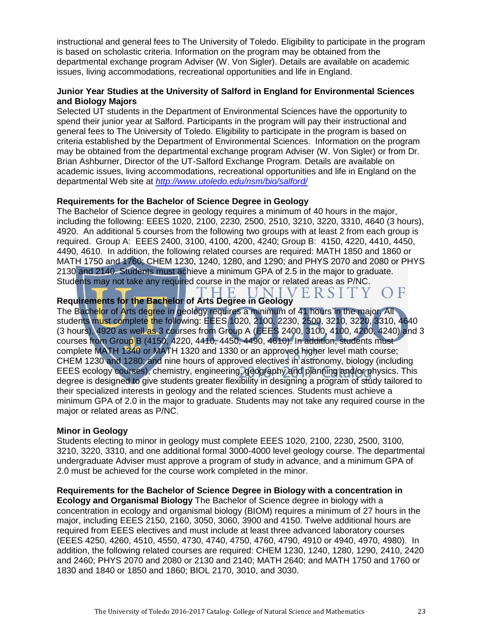instructional and general fees to The University of Toledo. Eligibility to participate in the program is based on scholastic criteria. Information on the program may be obtained from the departmental exchange program Adviser (W. Von Sigler). Details are available on academic issues, living accommodations, recreational opportunities and life in England.

#### **Junior Year Studies at the University of Salford in England for Environmental Sciences and Biology Majors**

Selected UT students in the Department of Environmental Sciences have the opportunity to spend their junior year at Salford. Participants in the program will pay their instructional and general fees to The University of Toledo. Eligibility to participate in the program is based on criteria established by the Department of Environmental Sciences. Information on the program may be obtained from the departmental exchange program Adviser (W. Von Sigler) or from Dr. Brian Ashburner, Director of the UT-Salford Exchange Program. Details are available on academic issues, living accommodations, recreational opportunities and life in England on the departmental Web site at *<http://www.utoledo.edu/nsm/bio/salford/>*

#### **Requirements for the Bachelor of Science Degree in Geology**

The Bachelor of Science degree in geology requires a minimum of 40 hours in the major, including the following: EEES 1020, 2100, 2230, 2500, 2510, 3210, 3220, 3310, 4640 (3 hours), 4920. An additional 5 courses from the following two groups with at least 2 from each group is required. Group A: EEES 2400, 3100, 4100, 4200, 4240; Group B: 4150, 4220, 4410, 4450, 4490, 4610. In addition, the following related courses are required: MATH 1850 and 1860 or MATH 1750 and 1760; CHEM 1230, 1240, 1280, and 1290; and PHYS 2070 and 2080 or PHYS 2130 and 2140. Students must achieve a minimum GPA of 2.5 in the major to graduate. Students may not take any required course in the major or related areas as P/NC.

 $\Box$ 

#### NIVERSITY. E. **Requirements for the Bachelor of Arts Degree in Geology**

The Bachelor of Arts degree in geology requires a minimum of 41 hours in the major. All students must complete the following: EEES 1020, 2100, 2230, 2500, 3210, 3220, 3310, 4640 (3 hours), 4920 as well as 3 courses from Group A (EEES 2400, 3100, 4100, 4200, 4240) and 3 courses from Group B (4150, 4220, 4410, 4450, 4490, 4610). In addition, students must complete MATH 1340 or MATH 1320 and 1330 or an approved higher level math course; CHEM 1230 and 1280; and nine hours of approved electives in astronomy, biology (including EEES ecology courses), chemistry, engineering, geography and planning and/or physics. This degree is designed to give students greater flexibility in designing a program of study tailored to their specialized interests in geology and the related sciences. Students must achieve a minimum GPA of 2.0 in the major to graduate. Students may not take any required course in the major or related areas as P/NC.

#### **Minor in Geology**

Students electing to minor in geology must complete EEES 1020, 2100, 2230, 2500, 3100, 3210, 3220, 3310, and one additional formal 3000-4000 level geology course. The departmental undergraduate Adviser must approve a program of study in advance, and a minimum GPA of 2.0 must be achieved for the course work completed in the minor.

**Requirements for the Bachelor of Science Degree in Biology with a concentration in Ecology and Organismal Biology** The Bachelor of Science degree in biology with a concentration in ecology and organismal biology (BIOM) requires a minimum of 27 hours in the major, including EEES 2150, 2160, 3050, 3060, 3900 and 4150. Twelve additional hours are required from EEES electives and must include at least three advanced laboratory courses (EEES 4250, 4260, 4510, 4550, 4730, 4740, 4750, 4760, 4790, 4910 or 4940, 4970, 4980). In addition, the following related courses are required: CHEM 1230, 1240, 1280, 1290, 2410, 2420 and 2460; PHYS 2070 and 2080 or 2130 and 2140; MATH 2640; and MATH 1750 and 1760 or 1830 and 1840 or 1850 and 1860; BIOL 2170, 3010, and 3030.

 $\bigcap$  F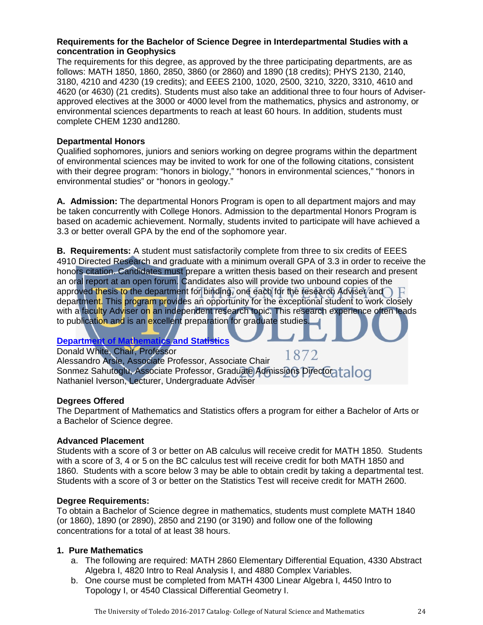#### **Requirements for the Bachelor of Science Degree in Interdepartmental Studies with a concentration in Geophysics**

The requirements for this degree, as approved by the three participating departments, are as follows: MATH 1850, 1860, 2850, 3860 (or 2860) and 1890 (18 credits); PHYS 2130, 2140, 3180, 4210 and 4230 (19 credits); and EEES 2100, 1020, 2500, 3210, 3220, 3310, 4610 and 4620 (or 4630) (21 credits). Students must also take an additional three to four hours of Adviserapproved electives at the 3000 or 4000 level from the mathematics, physics and astronomy, or environmental sciences departments to reach at least 60 hours. In addition, students must complete CHEM 1230 and1280.

#### **Departmental Honors**

Qualified sophomores, juniors and seniors working on degree programs within the department of environmental sciences may be invited to work for one of the following citations, consistent with their degree program: "honors in biology," "honors in environmental sciences," "honors in environmental studies" or "honors in geology."

**A. Admission:** The departmental Honors Program is open to all department majors and may be taken concurrently with College Honors. Admission to the departmental Honors Program is based on academic achievement. Normally, students invited to participate will have achieved a 3.3 or better overall GPA by the end of the sophomore year.

**B. Requirements:** A student must satisfactorily complete from three to six credits of EEES 4910 Directed Research and graduate with a minimum overall GPA of 3.3 in order to receive the honors citation. Candidates must prepare a written thesis based on their research and present an oral report at an open forum. Candidates also will provide two unbound copies of the approved thesis to the department for binding, one each for the research Adviser and  $\bigcap$   $F$ department. This program provides an opportunity for the exceptional student to work closely with a faculty Adviser on an independent research topic. This research experience often leads to publication and is an excellent preparation for graduate studies.

## **[Department of Mathematics and Statistics](http://www.math.utoledo.edu/)**

Donald White, Chair, Professor 1872 Alessandro Arsie, Associate Professor, Associate Chair Sonmez Sahutoglu, Associate Professor, Graduate Admissions Director alloc Nathaniel Iverson, Lecturer, Undergraduate Adviser

#### **Degrees Offered**

The Department of Mathematics and Statistics offers a program for either a Bachelor of Arts or a Bachelor of Science degree.

#### **Advanced Placement**

Students with a score of 3 or better on AB calculus will receive credit for MATH 1850. Students with a score of 3, 4 or 5 on the BC calculus test will receive credit for both MATH 1850 and 1860. Students with a score below 3 may be able to obtain credit by taking a departmental test. Students with a score of 3 or better on the Statistics Test will receive credit for MATH 2600.

#### **Degree Requirements:**

To obtain a Bachelor of Science degree in mathematics, students must complete MATH 1840 (or 1860), 1890 (or 2890), 2850 and 2190 (or 3190) and follow one of the following concentrations for a total of at least 38 hours.

#### **1. Pure Mathematics**

- a. The following are required: MATH 2860 Elementary Differential Equation, 4330 Abstract Algebra I, 4820 Intro to Real Analysis I, and 4880 Complex Variables.
- b. One course must be completed from MATH 4300 Linear Algebra I, 4450 Intro to Topology I, or 4540 Classical Differential Geometry I.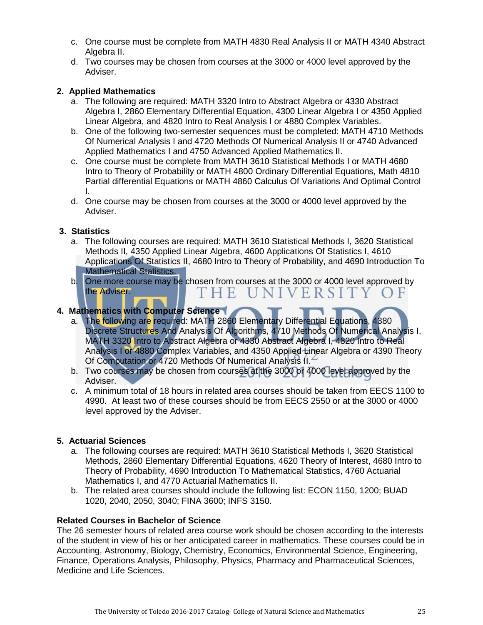- c. One course must be complete from MATH 4830 Real Analysis II or MATH 4340 Abstract Algebra II.
- d. Two courses may be chosen from courses at the 3000 or 4000 level approved by the Adviser.

#### **2. Applied Mathematics**

- a. The following are required: MATH 3320 Intro to Abstract Algebra or 4330 Abstract Algebra I, 2860 Elementary Differential Equation, 4300 Linear Algebra I or 4350 Applied Linear Algebra, and 4820 Intro to Real Analysis I or 4880 Complex Variables.
- b. One of the following two-semester sequences must be completed: MATH 4710 Methods Of Numerical Analysis I and 4720 Methods Of Numerical Analysis II or 4740 Advanced Applied Mathematics I and 4750 Advanced Applied Mathematics II.
- c. One course must be complete from MATH 3610 Statistical Methods I or MATH 4680 Intro to Theory of Probability or MATH 4800 Ordinary Differential Equations, Math 4810 Partial differential Equations or MATH 4860 Calculus Of Variations And Optimal Control I.
- d. One course may be chosen from courses at the 3000 or 4000 level approved by the Adviser.

#### **3. Statistics**

- a. The following courses are required: MATH 3610 Statistical Methods I, 3620 Statistical Methods II, 4350 Applied Linear Algebra, 4600 Applications Of Statistics I, 4610 Applications Of Statistics II, 4680 Intro to Theory of Probability, and 4690 Introduction To Mathematical Statistics.
- b. One more course may be chosen from courses at the 3000 or 4000 level approved by the Adviser.  $E$ UNIVERSI

#### **4. Mathematics with Computer Science**

- a. The following are required: MATH 2860 Elementary Differential Equations, 4380 Discrete Structures And Analysis Of Algorithms, 4710 Methods Of Numerical Analysis I, MATH 3320 Intro to Abstract Algebra or 4330 Abstract Algebra I, 4820 Intro to Real Analysis I or 4880 Complex Variables, and 4350 Applied Linear Algebra or 4390 Theory Of Computation or 4720 Methods Of Numerical Analysis II.
- b. Two courses may be chosen from courses at the 3000 or 4000 level approved by the Adviser.
- c. A minimum total of 18 hours in related area courses should be taken from EECS 1100 to 4990. At least two of these courses should be from EECS 2550 or at the 3000 or 4000 level approved by the Adviser.

#### **5. Actuarial Sciences**

- a. The following courses are required: MATH 3610 Statistical Methods I, 3620 Statistical Methods, 2860 Elementary Differential Equations, 4620 Theory of Interest, 4680 Intro to Theory of Probability, 4690 Introduction To Mathematical Statistics, 4760 Actuarial Mathematics I, and 4770 Actuarial Mathematics II.
- b. The related area courses should include the following list: ECON 1150, 1200; BUAD 1020, 2040, 2050, 3040; FINA 3600; INFS 3150.

#### **Related Courses in Bachelor of Science**

The 26 semester hours of related area course work should be chosen according to the interests of the student in view of his or her anticipated career in mathematics. These courses could be in Accounting, Astronomy, Biology, Chemistry, Economics, Environmental Science, Engineering, Finance, Operations Analysis, Philosophy, Physics, Pharmacy and Pharmaceutical Sciences, Medicine and Life Sciences.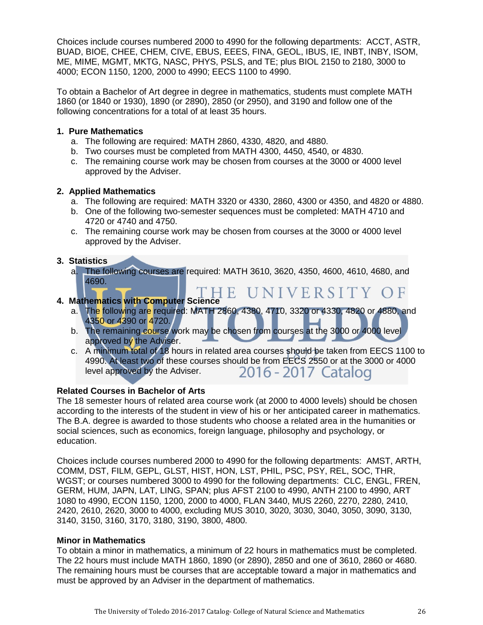Choices include courses numbered 2000 to 4990 for the following departments: ACCT, ASTR, BUAD, BIOE, CHEE, CHEM, CIVE, EBUS, EEES, FINA, GEOL, IBUS, IE, INBT, INBY, ISOM, ME, MIME, MGMT, MKTG, NASC, PHYS, PSLS, and TE; plus BIOL 2150 to 2180, 3000 to 4000; ECON 1150, 1200, 2000 to 4990; EECS 1100 to 4990.

To obtain a Bachelor of Art degree in degree in mathematics, students must complete MATH 1860 (or 1840 or 1930), 1890 (or 2890), 2850 (or 2950), and 3190 and follow one of the following concentrations for a total of at least 35 hours.

#### **1. Pure Mathematics**

- a. The following are required: MATH 2860, 4330, 4820, and 4880.
- b. Two courses must be completed from MATH 4300, 4450, 4540, or 4830.
- c. The remaining course work may be chosen from courses at the 3000 or 4000 level approved by the Adviser.

#### **2. Applied Mathematics**

- a. The following are required: MATH 3320 or 4330, 2860, 4300 or 4350, and 4820 or 4880.
- b. One of the following two-semester sequences must be completed: MATH 4710 and 4720 or 4740 and 4750.
- c. The remaining course work may be chosen from courses at the 3000 or 4000 level approved by the Adviser.

#### **3. Statistics**

a. The following courses are required: MATH 3610, 3620, 4350, 4600, 4610, 4680, and 4690.

## HE UNIVERSITY OF

#### **4. Mathematics with Computer Science**

- a. The following are required: MATH 2860, 4380, 4710, 3320 or 4330, 4820 or 4880, and 4350 or 4390 or 4720.
- b. The remaining course work may be chosen from courses at the 3000 or 4000 level approved by the Adviser.
- c. A minimum total of 18 hours in related area courses should be taken from EECS 1100 to 4990. At least two of these courses should be from EECS 2550 or at the 3000 or 4000 level approved by the Adviser. 2016 - 2017 Catalog

#### **Related Courses in Bachelor of Arts**

The 18 semester hours of related area course work (at 2000 to 4000 levels) should be chosen according to the interests of the student in view of his or her anticipated career in mathematics. The B.A. degree is awarded to those students who choose a related area in the humanities or social sciences, such as economics, foreign language, philosophy and psychology, or education.

Choices include courses numbered 2000 to 4990 for the following departments: AMST, ARTH, COMM, DST, FILM, GEPL, GLST, HIST, HON, LST, PHIL, PSC, PSY, REL, SOC, THR, WGST; or courses numbered 3000 to 4990 for the following departments: CLC, ENGL, FREN, GERM, HUM, JAPN, LAT, LING, SPAN; plus AFST 2100 to 4990, ANTH 2100 to 4990, ART 1080 to 4990, ECON 1150, 1200, 2000 to 4000, FLAN 3440, MUS 2260, 2270, 2280, 2410, 2420, 2610, 2620, 3000 to 4000, excluding MUS 3010, 3020, 3030, 3040, 3050, 3090, 3130, 3140, 3150, 3160, 3170, 3180, 3190, 3800, 4800.

#### **Minor in Mathematics**

To obtain a minor in mathematics, a minimum of 22 hours in mathematics must be completed. The 22 hours must include MATH 1860, 1890 (or 2890), 2850 and one of 3610, 2860 or 4680. The remaining hours must be courses that are acceptable toward a major in mathematics and must be approved by an Adviser in the department of mathematics.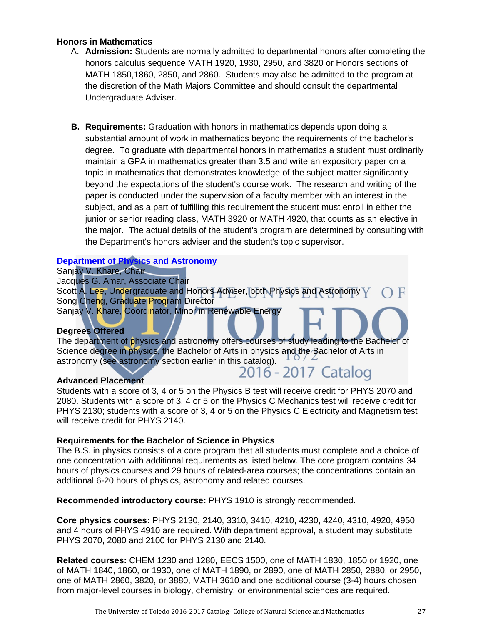#### **Honors in Mathematics**

- A. **Admission:** Students are normally admitted to departmental honors after completing the honors calculus sequence MATH 1920, 1930, 2950, and 3820 or Honors sections of MATH 1850,1860, 2850, and 2860. Students may also be admitted to the program at the discretion of the Math Majors Committee and should consult the departmental Undergraduate Adviser.
- **B. Requirements:** Graduation with honors in mathematics depends upon doing a substantial amount of work in mathematics beyond the requirements of the bachelor's degree. To graduate with departmental honors in mathematics a student must ordinarily maintain a GPA in mathematics greater than 3.5 and write an expository paper on a topic in mathematics that demonstrates knowledge of the subject matter significantly beyond the expectations of the student's course work. The research and writing of the paper is conducted under the supervision of a faculty member with an interest in the subject, and as a part of fulfilling this requirement the student must enroll in either the junior or senior reading class, MATH 3920 or MATH 4920, that counts as an elective in the major. The actual details of the student's program are determined by consulting with the Department's honors adviser and the student's topic supervisor.

#### **[Department of Physics and Astronomy](http://www.utoledo.edu/nsm/physast/index.html)**

Sanjay V. Khare, Chair Jacques G. Amar, Associate Chair Scott A. Lee, Undergraduate and Honors Adviser, both Physics and Astronomy V Song Cheng, Graduate Program Director Sanjay V. Khare, Coordinator, Minor in Renewable Energy

#### **Degrees Offered**

The department of physics and astronomy offers courses of study leading to the Bachelor of Science degree in physics, the Bachelor of Arts in physics and the Bachelor of Arts in astronomy (see astronomy section earlier in this catalog).  $10/2$ <br>2016 - 2017 Catalog

#### **Advanced Placement**

Students with a score of 3, 4 or 5 on the Physics B test will receive credit for PHYS 2070 and 2080. Students with a score of 3, 4 or 5 on the Physics C Mechanics test will receive credit for PHYS 2130; students with a score of 3, 4 or 5 on the Physics C Electricity and Magnetism test will receive credit for PHYS 2140.

#### **Requirements for the Bachelor of Science in Physics**

The B.S. in physics consists of a core program that all students must complete and a choice of one concentration with additional requirements as listed below. The core program contains 34 hours of physics courses and 29 hours of related-area courses; the concentrations contain an additional 6-20 hours of physics, astronomy and related courses.

**Recommended introductory course:** PHYS 1910 is strongly recommended.

**Core physics courses:** PHYS 2130, 2140, 3310, 3410, 4210, 4230, 4240, 4310, 4920, 4950 and 4 hours of PHYS 4910 are required. With department approval, a student may substitute PHYS 2070, 2080 and 2100 for PHYS 2130 and 2140.

**Related courses:** CHEM 1230 and 1280, EECS 1500, one of MATH 1830, 1850 or 1920, one of MATH 1840, 1860, or 1930, one of MATH 1890, or 2890, one of MATH 2850, 2880, or 2950, one of MATH 2860, 3820, or 3880, MATH 3610 and one additional course (3-4) hours chosen from major-level courses in biology, chemistry, or environmental sciences are required.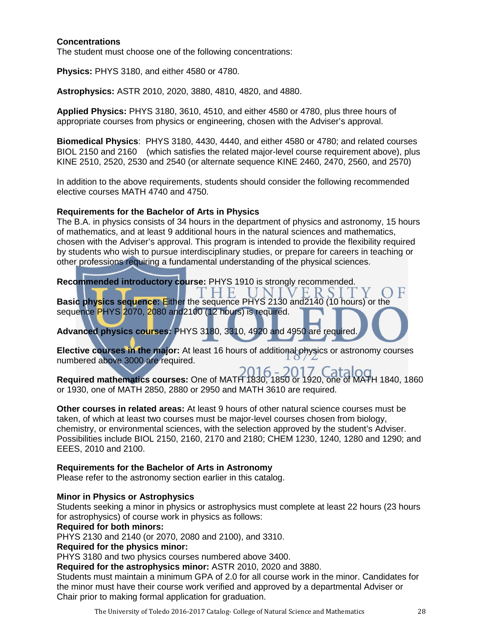#### **Concentrations**

The student must choose one of the following concentrations:

**Physics:** PHYS 3180, and either 4580 or 4780.

**Astrophysics:** ASTR 2010, 2020, 3880, 4810, 4820, and 4880.

**Applied Physics:** PHYS 3180, 3610, 4510, and either 4580 or 4780, plus three hours of appropriate courses from physics or engineering, chosen with the Adviser's approval.

**Biomedical Physics**: PHYS 3180, 4430, 4440, and either 4580 or 4780; and related courses BIOL 2150 and 2160 (which satisfies the related major-level course requirement above), plus KINE 2510, 2520, 2530 and 2540 (or alternate sequence KINE 2460, 2470, 2560, and 2570)

In addition to the above requirements, students should consider the following recommended elective courses MATH 4740 and 4750.

#### **Requirements for the Bachelor of Arts in Physics**

The B.A. in physics consists of 34 hours in the department of physics and astronomy, 15 hours of mathematics, and at least 9 additional hours in the natural sciences and mathematics, chosen with the Adviser's approval. This program is intended to provide the flexibility required by students who wish to pursue interdisciplinary studies, or prepare for careers in teaching or other professions requiring a fundamental understanding of the physical sciences.

**Recommended introductory course:** PHYS 1910 is strongly recommended.

F. **Basic physics sequence:** Either the sequence PHYS 2130 and2140 (10 hours) or the sequence PHYS 2070, 2080 and 2100 (12 hours) is required.

**Advanced physics courses:** PHYS 3180, 3310, 4920 and 4950 are required.

**Elective courses in the major:** At least 16 hours of additional physics or astronomy courses numbered above 3000 are required.

**Required mathematics courses:** One of MATH 1830, 1850 or 1920, one of MATH 1840, 1860 or 1930, one of MATH 2850, 2880 or 2950 and MATH 3610 are required.

**Other courses in related areas:** At least 9 hours of other natural science courses must be taken, of which at least two courses must be major-level courses chosen from biology, chemistry, or environmental sciences, with the selection approved by the student's Adviser. Possibilities include BIOL 2150, 2160, 2170 and 2180; CHEM 1230, 1240, 1280 and 1290; and EEES, 2010 and 2100.

#### **Requirements for the Bachelor of Arts in Astronomy**

Please refer to the astronomy section earlier in this catalog.

#### **Minor in Physics or Astrophysics**

Students seeking a minor in physics or astrophysics must complete at least 22 hours (23 hours for astrophysics) of course work in physics as follows:

#### **Required for both minors:**

PHYS 2130 and 2140 (or 2070, 2080 and 2100), and 3310.

#### **Required for the physics minor:**

PHYS 3180 and two physics courses numbered above 3400.

**Required for the astrophysics minor:** ASTR 2010, 2020 and 3880.

Students must maintain a minimum GPA of 2.0 for all course work in the minor. Candidates for the minor must have their course work verified and approved by a departmental Adviser or Chair prior to making formal application for graduation.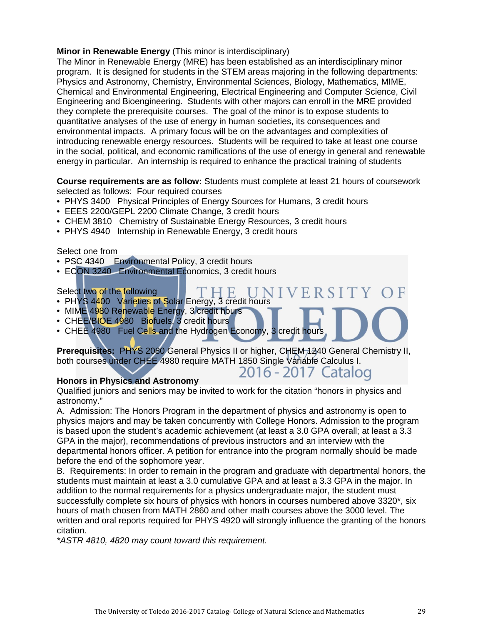#### **Minor in Renewable Energy** (This minor is interdisciplinary)

The Minor in Renewable Energy (MRE) has been established as an interdisciplinary minor program. It is designed for students in the STEM areas majoring in the following departments: Physics and Astronomy, Chemistry, Environmental Sciences, Biology, Mathematics, MIME, Chemical and Environmental Engineering, Electrical Engineering and Computer Science, Civil Engineering and Bioengineering. Students with other majors can enroll in the MRE provided they complete the prerequisite courses. The goal of the minor is to expose students to quantitative analyses of the use of energy in human societies, its consequences and environmental impacts. A primary focus will be on the advantages and complexities of introducing renewable energy resources. Students will be required to take at least one course in the social, political, and economic ramifications of the use of energy in general and renewable energy in particular. An internship is required to enhance the practical training of students

**Course requirements are as follow:** Students must complete at least 21 hours of coursework selected as follows: Four required courses

- PHYS 3400 Physical Principles of Energy Sources for Humans, 3 credit hours
- EEES 2200/GEPL 2200 Climate Change, 3 credit hours
- CHEM 3810 Chemistry of Sustainable Energy Resources, 3 credit hours
- PHYS 4940 Internship in Renewable Energy, 3 credit hours

#### Select one from

- PSC 4340 Environmental Policy, 3 credit hours
- ECON 3240 Environmental Economics, 3 credit hours

#### Select two of the following

- PHYS 4400 Varieties of Solar Energy, 3 credit hours
- MIME 4980 Renewable Energy, 3 credit hours
- CHEE/BIOE 4980 Biofuels, 3 credit hours
- CHEE 4980 Fuel Cells and the Hydrogen Economy, 3 credit hours

**Prerequisites:** PHYS 2080 General Physics II or higher, CHEM 1240 General Chemistry II, both courses under CHEE 4980 require MATH 1850 Single Variable Calculus I. 2016 - 2017 Catalog

 $\mathbf{F}$ 

#### **Honors in Physics and Astronomy**

Qualified juniors and seniors may be invited to work for the citation "honors in physics and astronomy."

A. Admission: The Honors Program in the department of physics and astronomy is open to physics majors and may be taken concurrently with College Honors. Admission to the program is based upon the student's academic achievement (at least a 3.0 GPA overall; at least a 3.3 GPA in the major), recommendations of previous instructors and an interview with the departmental honors officer. A petition for entrance into the program normally should be made before the end of the sophomore year.

B. Requirements: In order to remain in the program and graduate with departmental honors, the students must maintain at least a 3.0 cumulative GPA and at least a 3.3 GPA in the major. In addition to the normal requirements for a physics undergraduate major, the student must successfully complete six hours of physics with honors in courses numbered above 3320\*, six hours of math chosen from MATH 2860 and other math courses above the 3000 level. The written and oral reports required for PHYS 4920 will strongly influence the granting of the honors citation.

*\*ASTR 4810, 4820 may count toward this requirement.*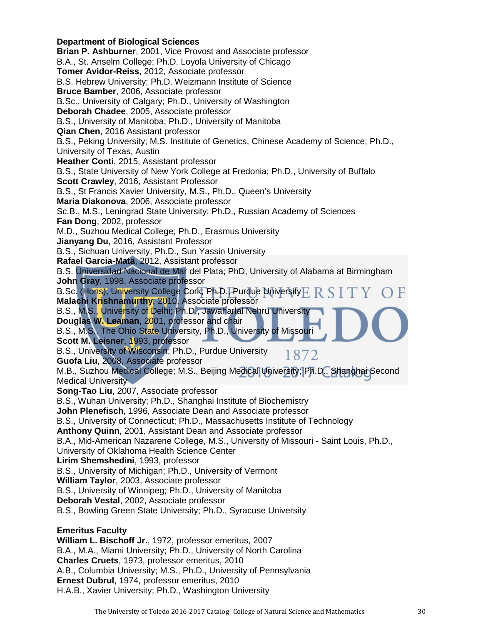**Department of Biological Sciences Brian P. Ashburner**, 2001, Vice Provost and Associate professor B.A., St. Anselm College; Ph.D. Loyola University of Chicago **Tomer Avidor-Reiss**, 2012, Associate professor B.S. Hebrew University; Ph.D. Weizmann Institute of Science **Bruce Bamber**, 2006, Associate professor B.Sc., University of Calgary; Ph.D., University of Washington **Deborah Chadee**, 2005, Associate professor B.S., University of Manitoba; Ph.D., University of Manitoba **Qian Chen**, 2016 Assistant professor B.S., Peking University; M.S. Institute of Genetics, Chinese Academy of Science; Ph.D., University of Texas, Austin **Heather Conti**, 2015, Assistant professor B.S., State University of New York College at Fredonia; Ph.D., University of Buffalo **Scott Crawley**, 2016, Assistant Professor B.S., St Francis Xavier University, M.S., Ph.D., Queen's University **Maria Diakonova**, 2006, Associate professor Sc.B., M.S., Leningrad State University; Ph.D., Russian Academy of Sciences **Fan Dong**, 2002, professor M.D., Suzhou Medical College; Ph.D., Erasmus University **Jianyang Du**, 2016, Assistant Professor B.S., Sichuan University, Ph.D., Sun Yassin University **Rafael Garcia-Mata**, 2012, Assistant professor B.S. Universidad Nacional de Mar del Plata; PhD, University of Alabama at Birmingham **John Gray**, 1998, Associate professor B.Sc. (Hons), University College Cork; Ph.D., Purdue University **Malachi Krishnamurthy**, 2010, Associate professor B.S., M.S., University of Delhi; Ph.D., Jawaharlal Nehru University **Douglas W. Leaman**, 2001, professor and chair B.S., M.S., The Ohio State University, Ph.D., University of Missouri **Scott M. Leisner**, 1993, professor B.S., University of Wisconsin; Ph.D., Purdue University 1872 **Guofa Liu**, 2008, Associate professor M.B., Suzhou Medical College; M.S., Beijing Medical University; Ph.D., Shanghai Second Medical University **Song-Tao Liu**, 2007, Associate professor B.S., Wuhan University; Ph.D., Shanghai Institute of Biochemistry **John Plenefisch**, 1996, Associate Dean and Associate professor B.S., University of Connecticut; Ph.D., Massachusetts Institute of Technology **Anthony Quinn**, 2001, Assistant Dean and Associate professor B.A., Mid-American Nazarene College, M.S., University of Missouri - Saint Louis, Ph.D., University of Oklahoma Health Science Center **Lirim Shemshedini**, 1993, professor B.S., University of Michigan; Ph.D., University of Vermont **William Taylor**, 2003, Associate professor B.S., University of Winnipeg; Ph.D., University of Manitoba **Deborah Vestal**, 2002, Associate professor B.S., Bowling Green State University; Ph.D., Syracuse University **Emeritus Faculty William L. Bischoff Jr.**, 1972, professor emeritus, 2007 B.A., M.A., Miami University; Ph.D., University of North Carolina **Charles Cruets**, 1973, professor emeritus, 2010 A.B., Columbia University; M.S., Ph.D., University of Pennsylvania

**Ernest Dubrul**, 1974, professor emeritus, 2010

H.A.B., Xavier University; Ph.D., Washington University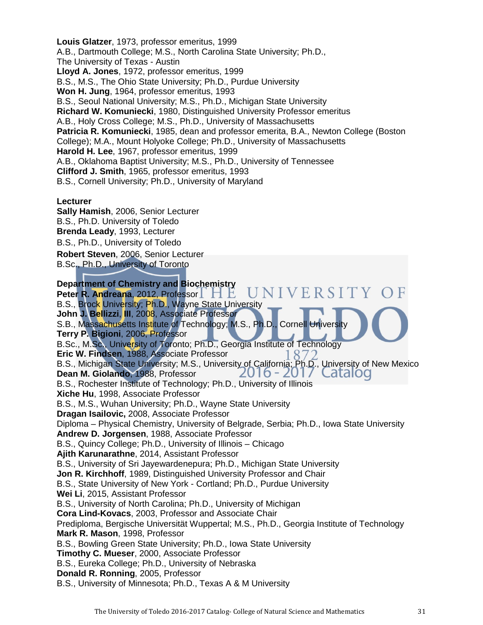**Louis Glatzer**, 1973, professor emeritus, 1999 A.B., Dartmouth College; M.S., North Carolina State University; Ph.D., The University of Texas - Austin **Lloyd A. Jones**, 1972, professor emeritus, 1999 B.S., M.S., The Ohio State University; Ph.D., Purdue University **Won H. Jung**, 1964, professor emeritus, 1993 B.S., Seoul National University; M.S., Ph.D., Michigan State University **Richard W. Komuniecki**, 1980, Distinguished University Professor emeritus A.B., Holy Cross College; M.S., Ph.D., University of Massachusetts **Patricia R. Komuniecki**, 1985, dean and professor emerita, B.A., Newton College (Boston College); M.A., Mount Holyoke College; Ph.D., University of Massachusetts **Harold H. Lee**, 1967, professor emeritus, 1999 A.B., Oklahoma Baptist University; M.S., Ph.D., University of Tennessee **Clifford J. Smith**, 1965, professor emeritus, 1993 B.S., Cornell University; Ph.D., University of Maryland **Lecturer Sally Hamish**, 2006, Senior Lecturer B.S., Ph.D. University of Toledo **Brenda Leady**, 1993, Lecturer B.S., Ph.D., University of Toledo

**Robert Steven**, 2006, Senior Lecturer

B.Sc., Ph.D., University of Toronto

**Department of Chemistry and Biochemistry** VERSITY **Peter R. Andreana, 2012, Professor FL E** B.S., Brock University; Ph.D., Wayne State University **John J. Bellizzi**, **III**, 2008, Associate Professor S.B., Massachusetts Institute of Technology; M.S., Ph.D., Cornell University **Terry P. Bigioni**, 2006, Professor B.Sc., M.Sc., University of Toronto; Ph.D., Georgia Institute of Technology **Eric W. Findsen**, 1988, Associate Professor 872 B.S., Michigan State University; M.S., University of California; Ph.D., University of New Mexico **Dean M. Giolando**, 1988, Professor B.S., Rochester Institute of Technology; Ph.D., University of Illinois **Xiche Hu**, 1998, Associate Professor B.S., M.S., Wuhan University; Ph.D., Wayne State University **Dragan Isailovic,** 2008, Associate Professor Diploma – Physical Chemistry, University of Belgrade, Serbia; Ph.D., Iowa State University **Andrew D. Jorgensen**, 1988, Associate Professor B.S., Quincy College; Ph.D., University of Illinois – Chicago **Ajith Karunarathne**, 2014, Assistant Professor B.S., University of Sri Jayewardenepura; Ph.D., Michigan State University **Jon R. Kirchhoff**, 1989, Distinguished University Professor and Chair B.S., State University of New York - Cortland; Ph.D., Purdue University **Wei Li**, 2015, Assistant Professor B.S., University of North Carolina; Ph.D., University of Michigan **Cora Lind-Kovacs**, 2003, Professor and Associate Chair Prediploma, Bergische Universität Wuppertal; M.S., Ph.D., Georgia Institute of Technology **Mark R. Mason**, 1998, Professor B.S., Bowling Green State University; Ph.D., Iowa State University **Timothy C. Mueser**, 2000, Associate Professor B.S., Eureka College; Ph.D., University of Nebraska **Donald R. Ronning**, 2005, Professor B.S., University of Minnesota; Ph.D., Texas A & M University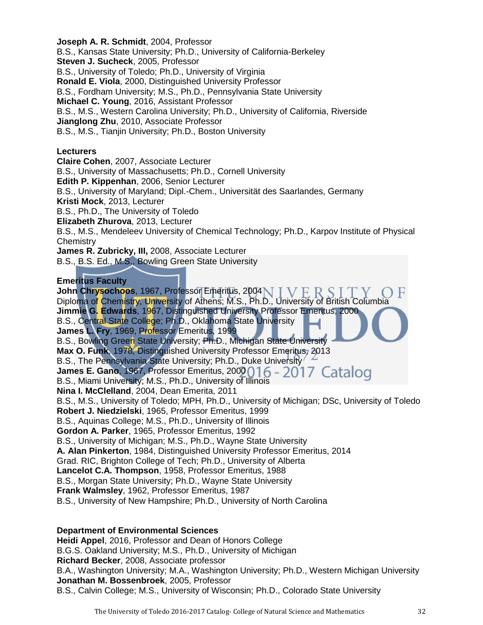B.S., Kansas State University; Ph.D., University of California-Berkeley **Steven J. Sucheck**, 2005, Professor B.S., University of Toledo; Ph.D., University of Virginia **Ronald E. Viola**, 2000, Distinguished University Professor B.S., Fordham University; M.S., Ph.D., Pennsylvania State University **Michael C. Young**, 2016, Assistant Professor B.S., M.S., Western Carolina University; Ph.D., University of California, Riverside **Jianglong Zhu**, 2010, Associate Professor B.S., M.S., Tianjin University; Ph.D., Boston University

#### **Lecturers**

**Joseph A. R. Schmidt**, 2004, Professor

**Claire Cohen**, 2007, Associate Lecturer B.S., University of Massachusetts; Ph.D., Cornell University **Edith P. Kippenhan**, 2006, Senior Lecturer B.S., University of Maryland; Dipl.-Chem., Universität des Saarlandes, Germany **Kristi Mock**, 2013, Lecturer B.S., Ph.D., The University of Toledo **Elizabeth Zhurova**, 2013, Lecturer B.S., M.S., Mendeleev University of Chemical Technology; Ph.D., Karpov Institute of Physical **Chemistry James R. Zubricky, III,** 2008, Associate Lecturer B.S., B.S. Ed., M.S., Bowling Green State University **Emeritus Faculty** 

John Chrysochoos, 1967, Professor Emeritus, 2004 N T V F R S Diploma of Chemistry, University of Athens; M.S., Ph.D., University of British Columbia **Jimmie G. Edwards**, 1967, Distinguished University Professor Emeritus, 2000 B.S., Central State College; Ph.D., Oklahoma State University **James L. Fry**, 1969, Professor Emeritus, 1999 B.S., Bowling Green State University; Ph.D., Michigan State University **Max O. Funk**, 1978, Distinguished University Professor Emeritus, 2013 B.S., The Pennsylvania State University; Ph.D., Duke University **James E. Gano, 1967, Professor Emeritus, 2000 016 - 2017 Catalog** B.S., Miami University; M.S., Ph.D., University of Illinois **Nina I. McClelland**, 2004, Dean Emerita, 2011 B.S., M.S., University of Toledo; MPH, Ph.D., University of Michigan; DSc, University of Toledo **Robert J. Niedzielski**, 1965, Professor Emeritus, 1999 B.S., Aquinas College; M.S., Ph.D., University of Illinois **Gordon A. Parker**, 1965, Professor Emeritus, 1992 B.S., University of Michigan; M.S., Ph.D., Wayne State University **A. Alan Pinkerton**, 1984, Distinguished University Professor Emeritus, 2014 Grad. RIC, Brighton College of Tech; Ph.D., University of Alberta **Lancelot C.A. Thompson**, 1958, Professor Emeritus, 1988 B.S., Morgan State University; Ph.D., Wayne State University **Frank Walmsley**, 1962, Professor Emeritus, 1987 B.S., University of New Hampshire; Ph.D., University of North Carolina

#### **Department of Environmental Sciences**

**Heidi Appel**, 2016, Professor and Dean of Honors College B.G.S. Oakland University; M.S., Ph.D., University of Michigan **Richard Becker**, 2008, Associate professor B.A., Washington University; M.A., Washington University; Ph.D., Western Michigan University **Jonathan M. Bossenbroek**, 2005, Professor B.S., Calvin College; M.S., University of Wisconsin; Ph.D., Colorado State University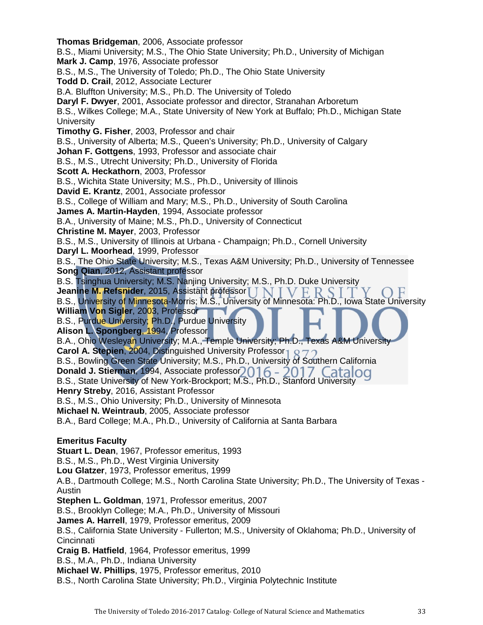**Thomas Bridgeman**, 2006, Associate professor B.S., Miami University; M.S., The Ohio State University; Ph.D., University of Michigan **Mark J. Camp**, 1976, Associate professor B.S., M.S., The University of Toledo; Ph.D., The Ohio State University **Todd D. Crail**, 2012, Associate Lecturer B.A. Bluffton University; M.S., Ph.D. The University of Toledo **Daryl F. Dwyer**, 2001, Associate professor and director, Stranahan Arboretum B.S., Wilkes College; M.A., State University of New York at Buffalo; Ph.D., Michigan State **University Timothy G. Fisher**, 2003, Professor and chair B.S., University of Alberta; M.S., Queen's University; Ph.D., University of Calgary **Johan F. Gottgens**, 1993, Professor and associate chair B.S., M.S., Utrecht University; Ph.D., University of Florida **Scott A. Heckathorn**, 2003, Professor B.S., Wichita State University; M.S., Ph.D., University of Illinois **David E. Krantz**, 2001, Associate professor B.S., College of William and Mary; M.S., Ph.D., University of South Carolina **James A. Martin-Hayden**, 1994, Associate professor B.A., University of Maine; M.S., Ph.D., University of Connecticut **Christine M. Mayer**, 2003, Professor B.S., M.S., University of Illinois at Urbana - Champaign; Ph.D., Cornell University **Daryl L. Moorhead**, 1999, Professor B.S., The Ohio State University; M.S., Texas A&M University; Ph.D., University of Tennessee **Song Qian**, 2012, Assistant professor B.S. Tsinghua University; M.S. Nanjing University; M.S., Ph.D. Duke University Jeanine M. Refsnider, 2015, Assistant professor [ ] N T V F R 9 B.S., University of Minnesota-Morris; M.S., University of Minnesota: Ph.D., Iowa State University **William Von Sigler**, 2003, Professor B.S., Purdue University; Ph.D., Purdue University **Alison L. Spongberg**, 1994, Professor B.A., Ohio Wesleyan University; M.A., Temple University; Ph.D., Texas A&M University **Carol A. Stepien, 2004, Distinguished University Professor 1 Q 7** B.S., Bowling Green State University; M.S., Ph.D., University of Southern California Donald J. Stierman, 1994, Associate professor<sub>2016</sub> - 2017 Catalog B.S., State University of New York-Brockport; M.S., Ph.D., Stanford University **Henry Streby**, 2016, Assistant Professor B.S., M.S., Ohio University; Ph.D., University of Minnesota **Michael N. Weintraub**, 2005, Associate professor B.A., Bard College; M.A., Ph.D., University of California at Santa Barbara **Emeritus Faculty Stuart L. Dean**, 1967, Professor emeritus, 1993 B.S., M.S., Ph.D., West Virginia University **Lou Glatzer**, 1973, Professor emeritus, 1999 A.B., Dartmouth College; M.S., North Carolina State University; Ph.D., The University of Texas - Austin **Stephen L. Goldman**, 1971, Professor emeritus, 2007 B.S., Brooklyn College; M.A., Ph.D., University of Missouri **James A. Harrell**, 1979, Professor emeritus, 2009 B.S., California State University - Fullerton; M.S., University of Oklahoma; Ph.D., University of **Cincinnati Craig B. Hatfield**, 1964, Professor emeritus, 1999 B.S., M.A., Ph.D., Indiana University **Michael W. Phillips**, 1975, Professor emeritus, 2010 B.S., North Carolina State University; Ph.D., Virginia Polytechnic Institute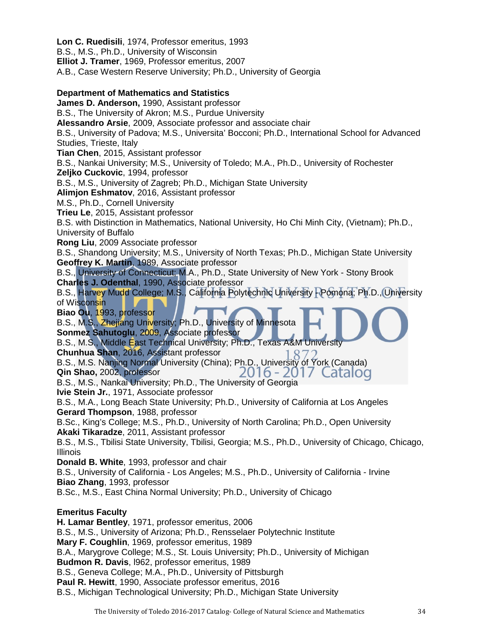**Lon C. Ruedisili**, 1974, Professor emeritus, 1993 B.S., M.S., Ph.D., University of Wisconsin **Elliot J. Tramer**, 1969, Professor emeritus, 2007 A.B., Case Western Reserve University; Ph.D., University of Georgia **Department of Mathematics and Statistics James D. Anderson,** 1990, Assistant professor B.S., The University of Akron; M.S., Purdue University **Alessandro Arsie**, 2009, Associate professor and associate chair B.S., University of Padova; M.S., Universita' Bocconi; Ph.D., International School for Advanced Studies, Trieste, Italy **Tian Chen**, 2015, Assistant professor B.S., Nankai University; M.S., University of Toledo; M.A., Ph.D., University of Rochester **Zeljko Cuckovic**, 1994, professor B.S., M.S., University of Zagreb; Ph.D., Michigan State University **Alimjon Eshmatov**, 2016, Assistant professor M.S., Ph.D., Cornell University **Trieu Le**, 2015, Assistant professor B.S. with Distinction in Mathematics, National University, Ho Chi Minh City, (Vietnam); Ph.D., University of Buffalo **Rong Liu**, 2009 Associate professor B.S., Shandong University; M.S., University of North Texas; Ph.D., Michigan State University **Geoffrey K. Martin**, 1989, Associate professor B.S., University of Connecticut; M.A., Ph.D., State University of New York - Stony Brook **Charles J. Odenthal**, 1990, Associate professor B.S., Harvey Mudd College; M.S., California Polytechnic University - Pomona; Ph.D., University of Wisconsin **Biao Ou**, 1993, professor B.S., M.S., Zhejiang University; Ph.D., University of Minnesota **Sonmez Sahutoglu**, 2009, Associate professor B.S., M.S., Middle East Technical University; Ph.D., Texas A&M University **Chunhua Shan**, 2016, Assistant professor **Chunhua Shan**, 2016, Assistant professor [1872]<br>B.S., M.S. Nanjing Normal University (China); Ph.D., University of York (Canada)<br>**Qin Shao,** 2002, professor [2016 - 2017] **Qin Shao,** 2002, professor Catalog B.S., M.S., Nankai University; Ph.D., The University of Georgia **Ivie Stein Jr.**, 1971, Associate professor B.S., M.A., Long Beach State University; Ph.D., University of California at Los Angeles **Gerard Thompson**, 1988, professor B.Sc., King's College; M.S., Ph.D., University of North Carolina; Ph.D., Open University **Akaki Tikaradze**, 2011, Assistant professor B.S., M.S., Tbilisi State University, Tbilisi, Georgia; M.S., Ph.D., University of Chicago, Chicago, Illinois **Donald B. White**, 1993, professor and chair B.S., University of California - Los Angeles; M.S., Ph.D., University of California - Irvine **Biao Zhang**, 1993, professor B.Sc., M.S., East China Normal University; Ph.D., University of Chicago **Emeritus Faculty H. Lamar Bentley**, 1971, professor emeritus, 2006 B.S., M.S., University of Arizona; Ph.D., Rensselaer Polytechnic Institute **Mary F. Coughlin**, 1969, professor emeritus, 1989 B.A., Marygrove College; M.S., St. Louis University; Ph.D., University of Michigan **Budmon R. Davis**, l962, professor emeritus, 1989 B.S., Geneva College; M.A., Ph.D., University of Pittsburgh **Paul R. Hewitt**, 1990, Associate professor emeritus, 2016 B.S., Michigan Technological University; Ph.D., Michigan State University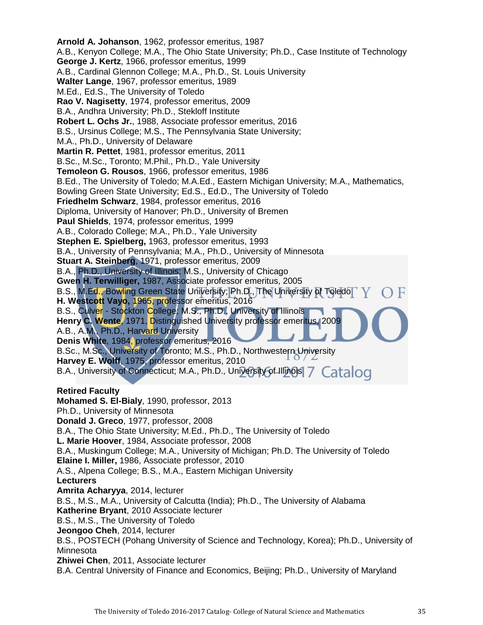**Arnold A. Johanson**, 1962, professor emeritus, 1987 A.B., Kenyon College; M.A., The Ohio State University; Ph.D., Case Institute of Technology **George J. Kertz**, 1966, professor emeritus, 1999 A.B., Cardinal Glennon College; M.A., Ph.D., St. Louis University **Walter Lange**, 1967, professor emeritus, 1989 M.Ed., Ed.S., The University of Toledo **Rao V. Nagisetty**, 1974, professor emeritus, 2009 B.A., Andhra University; Ph.D., Stekloff Institute **Robert L. Ochs Jr.**, 1988, Associate professor emeritus, 2016 B.S., Ursinus College; M.S., The Pennsylvania State University; M.A., Ph.D., University of Delaware **Martin R. Pettet**, 1981, professor emeritus, 2011 B.Sc., M.Sc., Toronto; M.Phil., Ph.D., Yale University **Temoleon G. Rousos**, 1966, professor emeritus, 1986 B.Ed., The University of Toledo; M.A.Ed., Eastern Michigan University; M.A., Mathematics, Bowling Green State University; Ed.S., Ed.D., The University of Toledo **Friedhelm Schwarz**, 1984, professor emeritus, 2016 Diploma, University of Hanover; Ph.D., University of Bremen **Paul Shields**, 1974, professor emeritus, 1999 A.B., Colorado College; M.A., Ph.D., Yale University **Stephen E. Spielberg,** 1963, professor emeritus, 1993 B.A., University of Pennsylvania; M.A., Ph.D., University of Minnesota **Stuart A. Steinberg**, 1971, professor emeritus, 2009 B.A., Ph.D., University of Illinois; M.S., University of Chicago **Gwen H. Terwilliger,** 1987, Associate professor emeritus, 2005 B.S., M.Ed., Bowling Green State University; Ph.D., The University of Toledo **H. Westcott Vayo,** 1965, professor emeritus, 2016 B.S., Culver - Stockton College; M.S., Ph.D., University of Illinois Henry C. Wente, 1971, Distinguished University professor emeritus, 2009 A.B., A.M., Ph.D., Harvard University **Denis White**, 1984, professor emeritus, 2016 B.Sc., M.Sc., University of Toronto; M.S., Ph.D., Northwestern University **Harvey E. Wolff**, 1975, professor emeritus, 2010 B.A., University of Connecticut; M.A., Ph.D., University of Illinois 7 Catalog **Retired Faculty Mohamed S. El-Bialy**, 1990, professor, 2013 Ph.D., University of Minnesota **Donald J. Greco**, 1977, professor, 2008 B.A., The Ohio State University; M.Ed., Ph.D., The University of Toledo **L. Marie Hoover**, 1984, Associate professor, 2008 B.A., Muskingum College; M.A., University of Michigan; Ph.D. The University of Toledo **Elaine I. Miller,** 1986, Associate professor, 2010 A.S., Alpena College; B.S., M.A., Eastern Michigan University **Lecturers Amrita Acharyya**, 2014, lecturer B.S., M.S., M.A., University of Calcutta (India); Ph.D., The University of Alabama **Katherine Bryant**, 2010 Associate lecturer B.S., M.S., The University of Toledo **Jeongoo Cheh**, 2014, lecturer B.S., POSTECH (Pohang University of Science and Technology, Korea); Ph.D., University of Minnesota **Zhiwei Chen**, 2011, Associate lecturer B.A. Central University of Finance and Economics, Beijing; Ph.D., University of Maryland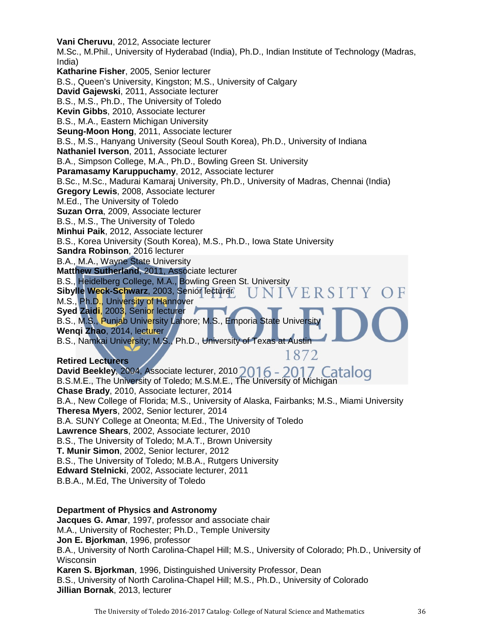**Vani Cheruvu**, 2012, Associate lecturer M.Sc., M.Phil., University of Hyderabad (India), Ph.D., Indian Institute of Technology (Madras, India) **Katharine Fisher**, 2005, Senior lecturer B.S., Queen's University, Kingston; M.S., University of Calgary **David Gajewski**, 2011, Associate lecturer B.S., M.S., Ph.D., The University of Toledo **Kevin Gibbs**, 2010, Associate lecturer B.S., M.A., Eastern Michigan University **Seung-Moon Hong**, 2011, Associate lecturer B.S., M.S., Hanyang University (Seoul South Korea), Ph.D., University of Indiana **Nathaniel Iverson**, 2011, Associate lecturer B.A., Simpson College, M.A., Ph.D., Bowling Green St. University **Paramasamy Karuppuchamy**, 2012, Associate lecturer B.Sc., M.Sc., Madurai Kamaraj University, Ph.D., University of Madras, Chennai (India) **Gregory Lewis**, 2008, Associate lecturer M.Ed., The University of Toledo **Suzan Orra**, 2009, Associate lecturer B.S., M.S., The University of Toledo **Minhui Paik**, 2012, Associate lecturer B.S., Korea University (South Korea), M.S., Ph.D., Iowa State University **Sandra Robinson**, 2016 lecturer B.A., M.A., Wayne State University **Matthew Sutherland**, 2011, Associate lecturer B.S., Heidelberg College, M.A., Bowling Green St. University **Sibylle Weck-Schwarz**, 2003, Senior lecturer **IVERSITY** M.S., Ph.D., University of Hannover **Syed Zaidi**, 2003, Senior lecturer B.S., M.S., Punjab University Lahore; M.S., Emporia State Univers **Wenqi Zhao**, 2014, lecturer B.S., Namkai Unive<mark>r</mark>sity; M.S., Ph.D., University of Texas at Austin 1872 **Retired Lecturers**

David Beekley, 2004, Associate lecturer, 2010 2016 - 2017 Catalog B.S.M.E., The University of Toledo; M.S.M.E., The University of Michigan **Chase Brady**, 2010, Associate lecturer, 2014 B.A., New College of Florida; M.S., University of Alaska, Fairbanks; M.S., Miami University **Theresa Myers**, 2002, Senior lecturer, 2014 B.A. SUNY College at Oneonta; M.Ed., The University of Toledo **Lawrence Shears**, 2002, Associate lecturer, 2010 B.S., The University of Toledo; M.A.T., Brown University **T. Munir Simon**, 2002, Senior lecturer, 2012 B.S., The University of Toledo; M.B.A., Rutgers University **Edward Stelnicki**, 2002, Associate lecturer, 2011 B.B.A., M.Ed, The University of Toledo

#### **Department of Physics and Astronomy**

**Jacques G. Amar**, 1997, professor and associate chair M.A., University of Rochester; Ph.D., Temple University **Jon E. Bjorkman**, 1996, professor B.A., University of North Carolina-Chapel Hill; M.S., University of Colorado; Ph.D., University of Wisconsin **Karen S. Bjorkman**, 1996, Distinguished University Professor, Dean B.S., University of North Carolina-Chapel Hill; M.S., Ph.D., University of Colorado **Jillian Bornak**, 2013, lecturer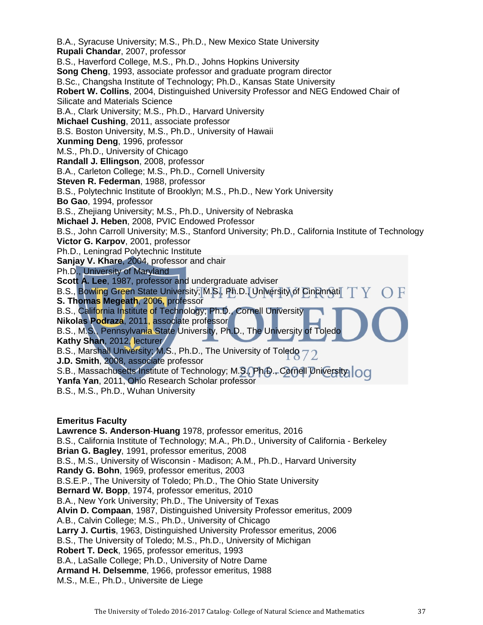B.A., Syracuse University; M.S., Ph.D., New Mexico State University **Rupali Chandar**, 2007, professor B.S., Haverford College, M.S., Ph.D., Johns Hopkins University **Song Cheng**, 1993, associate professor and graduate program director B.Sc., Changsha Institute of Technology; Ph.D., Kansas State University **Robert W. Collins**, 2004, Distinguished University Professor and NEG Endowed Chair of Silicate and Materials Science B.A., Clark University; M.S., Ph.D., Harvard University **Michael Cushing**, 2011, associate professor B.S. Boston University, M.S., Ph.D., University of Hawaii **Xunming Deng**, 1996, professor M.S., Ph.D., University of Chicago **Randall J. Ellingson**, 2008, professor B.A., Carleton College; M.S., Ph.D., Cornell University **Steven R. Federman**, 1988, professor B.S., Polytechnic Institute of Brooklyn; M.S., Ph.D., New York University **Bo Gao**, 1994, professor B.S., Zhejiang University; M.S., Ph.D., University of Nebraska **Michael J. Heben**, 2008, PVIC Endowed Professor B.S., John Carroll University; M.S., Stanford University; Ph.D., California Institute of Technology **Victor G. Karpov**, 2001, professor Ph.D., Leningrad Polytechnic Institute **Sanjay V. Khare**, 2004, professor and chair Ph.D., University of Maryland **Scott A. Lee**, 1987, professor and undergraduate adviser B.S., Bowling Green State University; M.S., Ph.D., University of Cincinnati **S. Thomas Megeath**, 2006, professor B.S., California Institute of Technology; Ph.D., Cornell University **Nikolas Podraza**, 2011, associate professor B.S., M.S., Pennsylvania State University, Ph.D., The University of Toledo **Kathy Shan**, 2012, lecturer B.S., Marshall University; M.S., Ph.D., The University of Toledo **J.D. Smith**, 2008, associate professor S.B., Massachusetts Institute of Technology; M.S., Ph.D., Cornell University | OCI **Yanfa Yan**, 2011, Ohio Research Scholar professor B.S., M.S., Ph.D., Wuhan University

#### **Emeritus Faculty**

**Lawrence S. Anderson**-**Huang** 1978, professor emeritus, 2016 B.S., California Institute of Technology; M.A., Ph.D., University of California - Berkeley **Brian G. Bagley**, 1991, professor emeritus, 2008 B.S., M.S., University of Wisconsin - Madison; A.M., Ph.D., Harvard University **Randy G. Bohn**, 1969, professor emeritus, 2003 B.S.E.P., The University of Toledo; Ph.D., The Ohio State University **Bernard W. Bopp**, 1974, professor emeritus, 2010 B.A., New York University; Ph.D., The University of Texas **Alvin D. Compaan**, 1987, Distinguished University Professor emeritus, 2009 A.B., Calvin College; M.S., Ph.D., University of Chicago **Larry J. Curtis**, 1963, Distinguished University Professor emeritus, 2006 B.S., The University of Toledo; M.S., Ph.D., University of Michigan **Robert T. Deck**, 1965, professor emeritus, 1993 B.A., LaSalle College; Ph.D., University of Notre Dame **Armand H. Delsemme**, 1966, professor emeritus, 1988 M.S., M.E., Ph.D., Universite de Liege